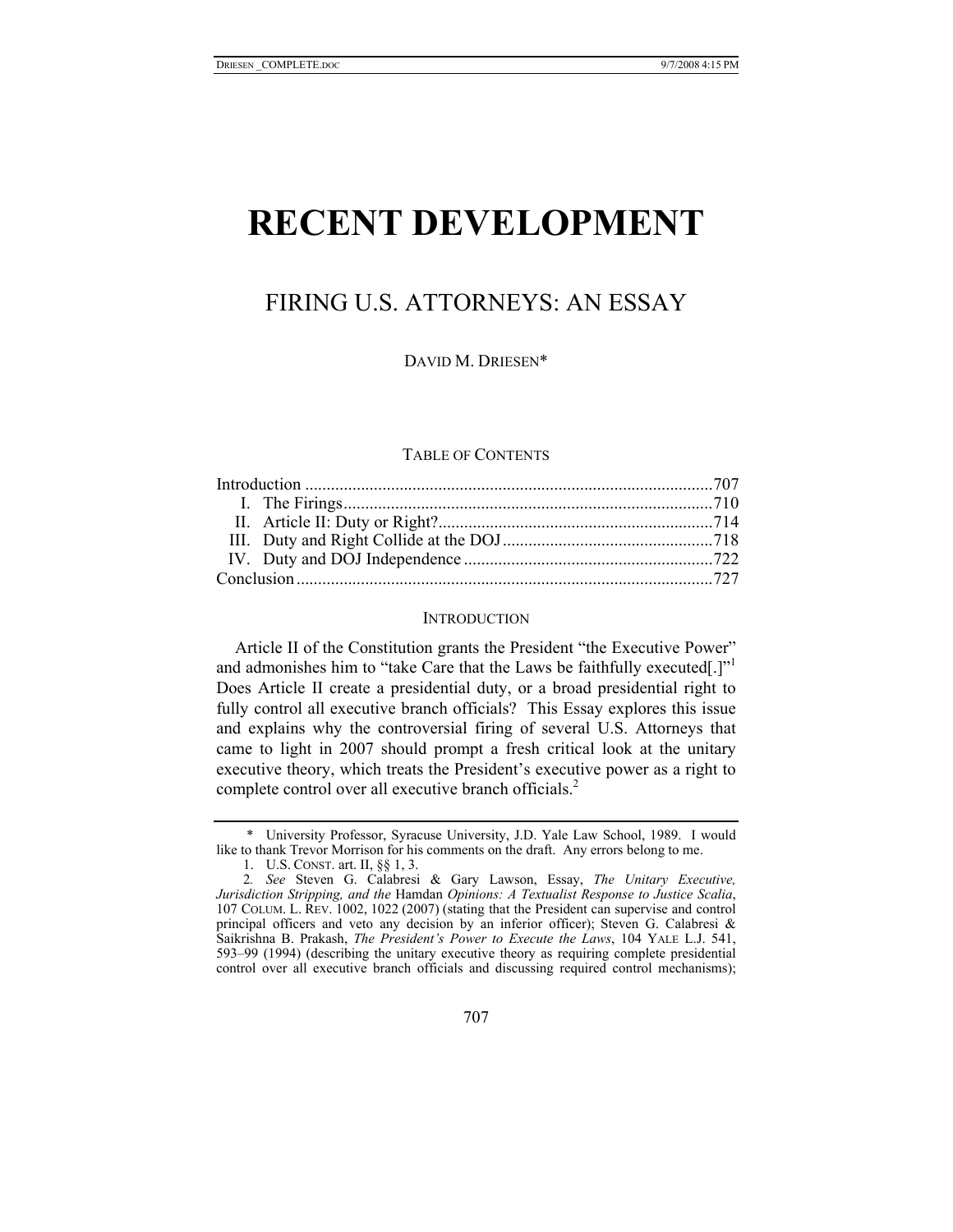# **RECENT DEVELOPMENT**

## FIRING U.S. ATTORNEYS: AN ESSAY

DAVID M. DRIESEN\*

#### TABLE OF CONTENTS

#### **INTRODUCTION**

Article II of the Constitution grants the President "the Executive Power" and admonishes him to "take Care that the Laws be faithfully executed[.]" $\cdot$ Does Article II create a presidential duty, or a broad presidential right to fully control all executive branch officials? This Essay explores this issue and explains why the controversial firing of several U.S. Attorneys that came to light in 2007 should prompt a fresh critical look at the unitary executive theory, which treats the President's executive power as a right to complete control over all executive branch officials.<sup>2</sup>

 <sup>\*</sup> University Professor, Syracuse University, J.D. Yale Law School, 1989. I would like to thank Trevor Morrison for his comments on the draft. Any errors belong to me.

 <sup>1.</sup> U.S. CONST. art. II, §§ 1, 3.

<sup>2</sup>*. See* Steven G. Calabresi & Gary Lawson, Essay, *The Unitary Executive, Jurisdiction Stripping, and the* Hamdan *Opinions: A Textualist Response to Justice Scalia*, 107 COLUM. L. REV. 1002, 1022 (2007) (stating that the President can supervise and control principal officers and veto any decision by an inferior officer); Steven G. Calabresi & Saikrishna B. Prakash, *The President's Power to Execute the Laws*, 104 YALE L.J. 541, 593–99 (1994) (describing the unitary executive theory as requiring complete presidential control over all executive branch officials and discussing required control mechanisms);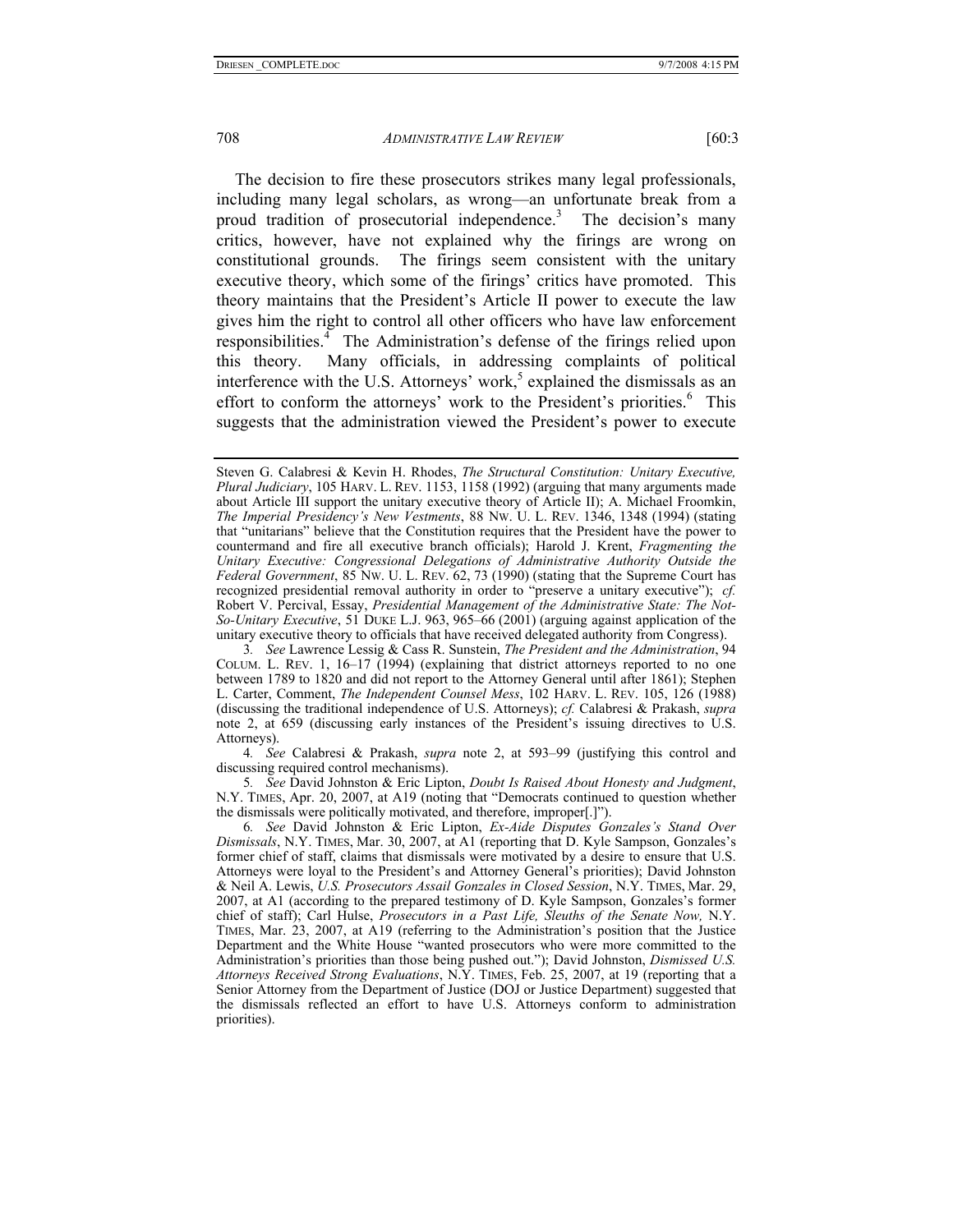The decision to fire these prosecutors strikes many legal professionals, including many legal scholars, as wrong—an unfortunate break from a proud tradition of prosecutorial independence.<sup>3</sup> The decision's many critics, however, have not explained why the firings are wrong on constitutional grounds. The firings seem consistent with the unitary executive theory, which some of the firings' critics have promoted. This theory maintains that the President's Article II power to execute the law gives him the right to control all other officers who have law enforcement responsibilities.<sup>4</sup> The Administration's defense of the firings relied upon this theory. Many officials, in addressing complaints of political interference with the U.S. Attorneys' work,<sup>5</sup> explained the dismissals as an effort to conform the attorneys' work to the President's priorities.<sup>6</sup> This suggests that the administration viewed the President's power to execute

3*. See* Lawrence Lessig & Cass R. Sunstein, *The President and the Administration*, 94 COLUM. L. REV. 1,  $16-17$  (1994) (explaining that district attorneys reported to no one between 1789 to 1820 and did not report to the Attorney General until after 1861); Stephen L. Carter, Comment, *The Independent Counsel Mess*, 102 HARV. L. REV. 105, 126 (1988) (discussing the traditional independence of U.S. Attorneys); *cf.* Calabresi & Prakash, *supra* note 2, at 659 (discussing early instances of the President's issuing directives to U.S. Attorneys).

4*. See* Calabresi & Prakash, *supra* note 2, at 593–99 (justifying this control and discussing required control mechanisms).

5*. See* David Johnston & Eric Lipton, *Doubt Is Raised About Honesty and Judgment*, N.Y. TIMES, Apr. 20, 2007, at A19 (noting that "Democrats continued to question whether the dismissals were politically motivated, and therefore, improper[.]").

6*. See* David Johnston & Eric Lipton, *Ex-Aide Disputes Gonzales's Stand Over Dismissals*, N.Y. TIMES, Mar. 30, 2007, at A1 (reporting that D. Kyle Sampson, Gonzales's former chief of staff, claims that dismissals were motivated by a desire to ensure that U.S. Attorneys were loyal to the President's and Attorney General's priorities); David Johnston & Neil A. Lewis, *U.S. Prosecutors Assail Gonzales in Closed Session*, N.Y. TIMES, Mar. 29, 2007, at A1 (according to the prepared testimony of D. Kyle Sampson, Gonzales's former chief of staff); Carl Hulse, *Prosecutors in a Past Life, Sleuths of the Senate Now,* N.Y. TIMES, Mar. 23, 2007, at A19 (referring to the Administration's position that the Justice Department and the White House "wanted prosecutors who were more committed to the Administration's priorities than those being pushed out."); David Johnston, *Dismissed U.S. Attorneys Received Strong Evaluations*, N.Y. TIMES, Feb. 25, 2007, at 19 (reporting that a Senior Attorney from the Department of Justice (DOJ or Justice Department) suggested that the dismissals reflected an effort to have U.S. Attorneys conform to administration priorities).

Steven G. Calabresi & Kevin H. Rhodes, *The Structural Constitution: Unitary Executive, Plural Judiciary*, 105 HARV. L. REV. 1153, 1158 (1992) (arguing that many arguments made about Article III support the unitary executive theory of Article II); A. Michael Froomkin, *The Imperial Presidency's New Vestments*, 88 NW. U. L. REV. 1346, 1348 (1994) (stating that "unitarians" believe that the Constitution requires that the President have the power to countermand and fire all executive branch officials); Harold J. Krent, *Fragmenting the Unitary Executive: Congressional Delegations of Administrative Authority Outside the Federal Government*, 85 NW. U. L. REV. 62, 73 (1990) (stating that the Supreme Court has recognized presidential removal authority in order to "preserve a unitary executive"); *cf.*  Robert V. Percival, Essay, *Presidential Management of the Administrative State: The Not-So-Unitary Executive*, 51 DUKE L.J. 963, 965–66 (2001) (arguing against application of the unitary executive theory to officials that have received delegated authority from Congress).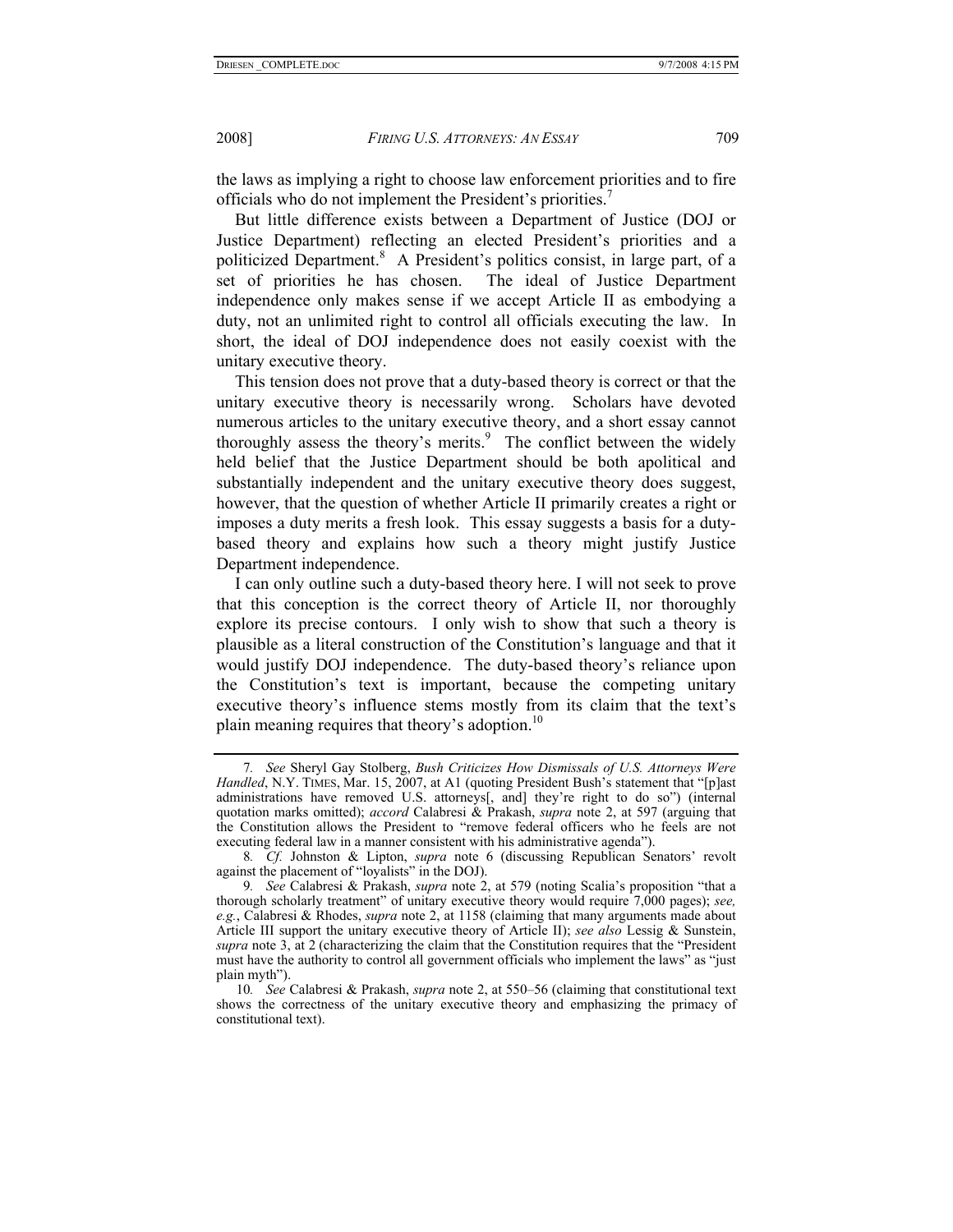the laws as implying a right to choose law enforcement priorities and to fire officials who do not implement the President's priorities.<sup>7</sup>

But little difference exists between a Department of Justice (DOJ or Justice Department) reflecting an elected President's priorities and a politicized Department.<sup>8</sup> A President's politics consist, in large part, of a set of priorities he has chosen. The ideal of Justice Department independence only makes sense if we accept Article II as embodying a duty, not an unlimited right to control all officials executing the law. In short, the ideal of DOJ independence does not easily coexist with the unitary executive theory.

This tension does not prove that a duty-based theory is correct or that the unitary executive theory is necessarily wrong. Scholars have devoted numerous articles to the unitary executive theory, and a short essay cannot thoroughly assess the theory's merits.<sup>9</sup> The conflict between the widely held belief that the Justice Department should be both apolitical and substantially independent and the unitary executive theory does suggest, however, that the question of whether Article II primarily creates a right or imposes a duty merits a fresh look. This essay suggests a basis for a dutybased theory and explains how such a theory might justify Justice Department independence.

I can only outline such a duty-based theory here. I will not seek to prove that this conception is the correct theory of Article II, nor thoroughly explore its precise contours. I only wish to show that such a theory is plausible as a literal construction of the Constitution's language and that it would justify DOJ independence. The duty-based theory's reliance upon the Constitution's text is important, because the competing unitary executive theory's influence stems mostly from its claim that the text's plain meaning requires that theory's adoption.<sup>10</sup>

<sup>7</sup>*. See* Sheryl Gay Stolberg, *Bush Criticizes How Dismissals of U.S. Attorneys Were Handled*, N.Y. TIMES, Mar. 15, 2007, at A1 (quoting President Bush's statement that "[p]ast administrations have removed U.S. attorneys[, and] they're right to do so") (internal quotation marks omitted); *accord* Calabresi & Prakash, *supra* note 2, at 597 (arguing that the Constitution allows the President to "remove federal officers who he feels are not executing federal law in a manner consistent with his administrative agenda").

<sup>8</sup>*. Cf.* Johnston & Lipton, *supra* note 6 (discussing Republican Senators' revolt against the placement of "loyalists" in the DOJ).

<sup>9</sup>*. See* Calabresi & Prakash, *supra* note 2, at 579 (noting Scalia's proposition "that a thorough scholarly treatment" of unitary executive theory would require 7,000 pages); *see, e.g.*, Calabresi & Rhodes, *supra* note 2, at 1158 (claiming that many arguments made about Article III support the unitary executive theory of Article II); *see also* Lessig & Sunstein, *supra* note 3, at 2 (characterizing the claim that the Constitution requires that the "President must have the authority to control all government officials who implement the laws" as "just plain myth").

<sup>10</sup>*. See* Calabresi & Prakash, *supra* note 2, at 550–56 (claiming that constitutional text shows the correctness of the unitary executive theory and emphasizing the primacy of constitutional text).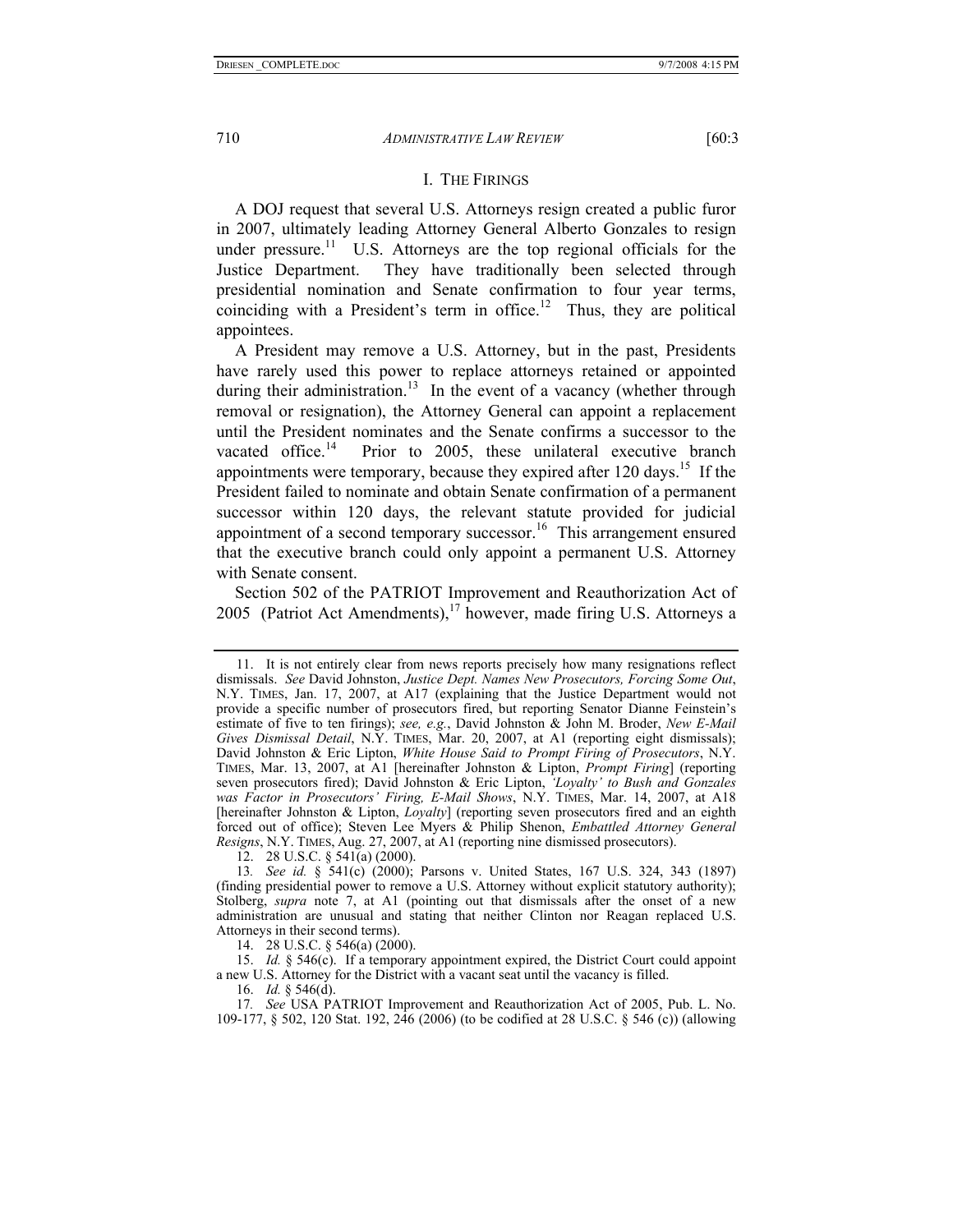### I. THE FIRINGS

A DOJ request that several U.S. Attorneys resign created a public furor in 2007, ultimately leading Attorney General Alberto Gonzales to resign under pressure.<sup>11</sup> U.S. Attorneys are the top regional officials for the Justice Department. They have traditionally been selected through presidential nomination and Senate confirmation to four year terms, coinciding with a President's term in office.<sup>12</sup> Thus, they are political appointees.

A President may remove a U.S. Attorney, but in the past, Presidents have rarely used this power to replace attorneys retained or appointed during their administration.<sup>13</sup> In the event of a vacancy (whether through removal or resignation), the Attorney General can appoint a replacement until the President nominates and the Senate confirms a successor to the vacated office.<sup>14</sup> Prior to 2005, these unilateral executive branch appointments were temporary, because they expired after  $120 \text{ days}$ .<sup>15</sup> If the President failed to nominate and obtain Senate confirmation of a permanent successor within 120 days, the relevant statute provided for judicial appointment of a second temporary successor.<sup>16</sup> This arrangement ensured that the executive branch could only appoint a permanent U.S. Attorney with Senate consent.

Section 502 of the PATRIOT Improvement and Reauthorization Act of 2005 (Patriot Act Amendments), $17$  however, made firing U.S. Attorneys a

12. 28 U.S.C. § 541(a) (2000).

14. 28 U.S.C. § 546(a) (2000).

 15. *Id.* § 546(c). If a temporary appointment expired, the District Court could appoint a new U.S. Attorney for the District with a vacant seat until the vacancy is filled.

16. *Id.* § 546(d).

17*. See* USA PATRIOT Improvement and Reauthorization Act of 2005, Pub. L. No. 109-177, § 502, 120 Stat. 192, 246 (2006) (to be codified at 28 U.S.C. § 546 (c)) (allowing

 <sup>11.</sup> It is not entirely clear from news reports precisely how many resignations reflect dismissals. *See* David Johnston, *Justice Dept. Names New Prosecutors, Forcing Some Out*, N.Y. TIMES, Jan. 17, 2007, at A17 (explaining that the Justice Department would not provide a specific number of prosecutors fired, but reporting Senator Dianne Feinstein's estimate of five to ten firings); *see, e.g.*, David Johnston & John M. Broder, *New E-Mail Gives Dismissal Detail*, N.Y. TIMES, Mar. 20, 2007, at A1 (reporting eight dismissals); David Johnston & Eric Lipton, *White House Said to Prompt Firing of Prosecutors*, N.Y. TIMES, Mar. 13, 2007, at A1 [hereinafter Johnston & Lipton, *Prompt Firing*] (reporting seven prosecutors fired); David Johnston & Eric Lipton, *'Loyalty' to Bush and Gonzales was Factor in Prosecutors' Firing, E-Mail Shows*, N.Y. TIMES, Mar. 14, 2007, at A18 [hereinafter Johnston & Lipton, *Loyalty*] (reporting seven prosecutors fired and an eighth forced out of office); Steven Lee Myers & Philip Shenon, *Embattled Attorney General Resigns*, N.Y. TIMES, Aug. 27, 2007, at A1 (reporting nine dismissed prosecutors).

<sup>13</sup>*. See id.* § 541(c) (2000); Parsons v. United States, 167 U.S. 324, 343 (1897) (finding presidential power to remove a U.S. Attorney without explicit statutory authority); Stolberg, *supra* note 7, at A1 (pointing out that dismissals after the onset of a new administration are unusual and stating that neither Clinton nor Reagan replaced U.S. Attorneys in their second terms).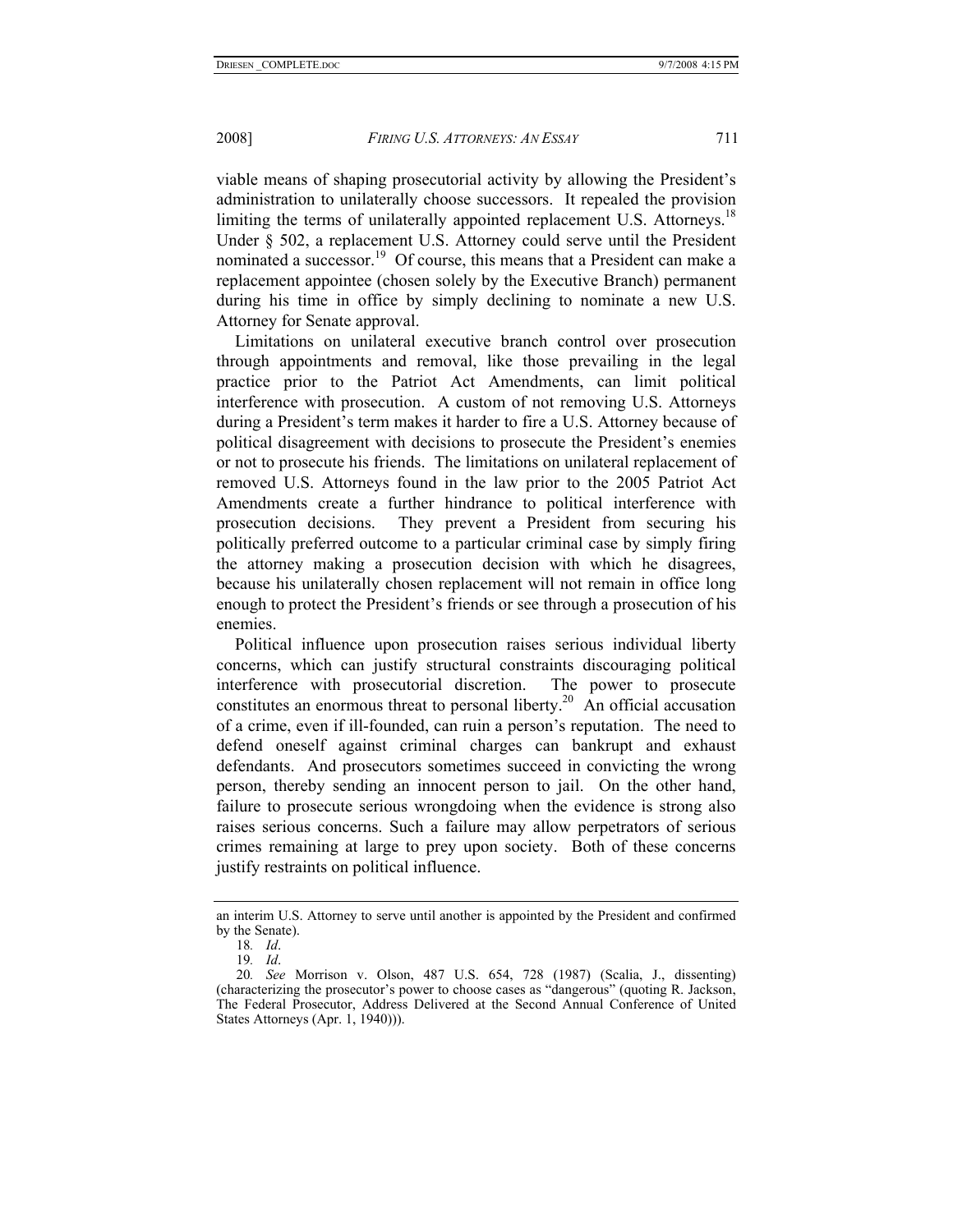viable means of shaping prosecutorial activity by allowing the President's administration to unilaterally choose successors. It repealed the provision limiting the terms of unilaterally appointed replacement U.S. Attorneys.<sup>18</sup> Under § 502, a replacement U.S. Attorney could serve until the President nominated a successor.<sup>19</sup> Of course, this means that a President can make a replacement appointee (chosen solely by the Executive Branch) permanent during his time in office by simply declining to nominate a new U.S. Attorney for Senate approval.

Limitations on unilateral executive branch control over prosecution through appointments and removal, like those prevailing in the legal practice prior to the Patriot Act Amendments, can limit political interference with prosecution. A custom of not removing U.S. Attorneys during a President's term makes it harder to fire a U.S. Attorney because of political disagreement with decisions to prosecute the President's enemies or not to prosecute his friends. The limitations on unilateral replacement of removed U.S. Attorneys found in the law prior to the 2005 Patriot Act Amendments create a further hindrance to political interference with prosecution decisions. They prevent a President from securing his politically preferred outcome to a particular criminal case by simply firing the attorney making a prosecution decision with which he disagrees, because his unilaterally chosen replacement will not remain in office long enough to protect the President's friends or see through a prosecution of his enemies.

Political influence upon prosecution raises serious individual liberty concerns, which can justify structural constraints discouraging political interference with prosecutorial discretion. The power to prosecute constitutes an enormous threat to personal liberty.<sup>20</sup> An official accusation of a crime, even if ill-founded, can ruin a person's reputation. The need to defend oneself against criminal charges can bankrupt and exhaust defendants. And prosecutors sometimes succeed in convicting the wrong person, thereby sending an innocent person to jail. On the other hand, failure to prosecute serious wrongdoing when the evidence is strong also raises serious concerns. Such a failure may allow perpetrators of serious crimes remaining at large to prey upon society. Both of these concerns justify restraints on political influence.

an interim U.S. Attorney to serve until another is appointed by the President and confirmed by the Senate).

<sup>18</sup>*. Id*.

<sup>19</sup>*. Id*.

<sup>20</sup>*. See* Morrison v. Olson, 487 U.S. 654, 728 (1987) (Scalia, J., dissenting) (characterizing the prosecutor's power to choose cases as "dangerous" (quoting R. Jackson, The Federal Prosecutor, Address Delivered at the Second Annual Conference of United States Attorneys (Apr. 1, 1940))).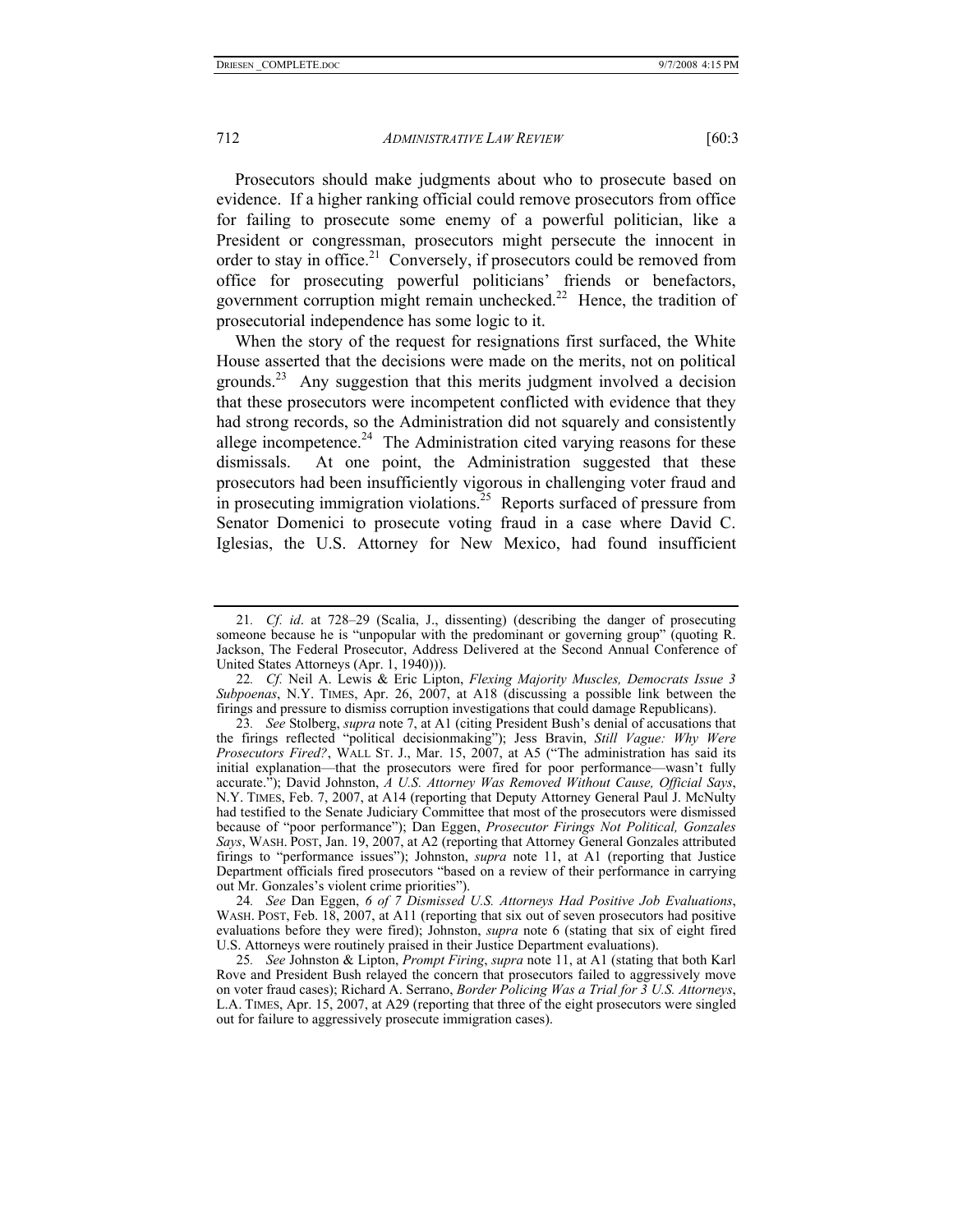Prosecutors should make judgments about who to prosecute based on evidence. If a higher ranking official could remove prosecutors from office for failing to prosecute some enemy of a powerful politician, like a President or congressman, prosecutors might persecute the innocent in order to stay in office.<sup>21</sup> Conversely, if prosecutors could be removed from office for prosecuting powerful politicians' friends or benefactors,

prosecutorial independence has some logic to it. When the story of the request for resignations first surfaced, the White House asserted that the decisions were made on the merits, not on political grounds.23 Any suggestion that this merits judgment involved a decision that these prosecutors were incompetent conflicted with evidence that they had strong records, so the Administration did not squarely and consistently allege incompetence.<sup>24</sup> The Administration cited varying reasons for these dismissals. At one point, the Administration suggested that these prosecutors had been insufficiently vigorous in challenging voter fraud and in prosecuting immigration violations.<sup>25</sup> Reports surfaced of pressure from Senator Domenici to prosecute voting fraud in a case where David C. Iglesias, the U.S. Attorney for New Mexico, had found insufficient

government corruption might remain unchecked.<sup>22</sup> Hence, the tradition of

22*. Cf.* Neil A. Lewis & Eric Lipton, *Flexing Majority Muscles, Democrats Issue 3 Subpoenas*, N.Y. TIMES, Apr. 26, 2007, at A18 (discussing a possible link between the firings and pressure to dismiss corruption investigations that could damage Republicans).

23*. See* Stolberg, *supra* note 7, at A1 (citing President Bush's denial of accusations that the firings reflected "political decisionmaking"); Jess Bravin, *Still Vague: Why Were Prosecutors Fired?*, WALL ST. J., Mar. 15, 2007, at A5 ("The administration has said its initial explanation—that the prosecutors were fired for poor performance—wasn't fully accurate."); David Johnston, *A U.S. Attorney Was Removed Without Cause, Official Says*, N.Y. TIMES, Feb. 7, 2007, at A14 (reporting that Deputy Attorney General Paul J. McNulty had testified to the Senate Judiciary Committee that most of the prosecutors were dismissed because of "poor performance"); Dan Eggen, *Prosecutor Firings Not Political, Gonzales Says*, WASH. POST, Jan. 19, 2007, at A2 (reporting that Attorney General Gonzales attributed firings to "performance issues"); Johnston, *supra* note 11, at A1 (reporting that Justice Department officials fired prosecutors "based on a review of their performance in carrying out Mr. Gonzales's violent crime priorities").

24*. See* Dan Eggen, *6 of 7 Dismissed U.S. Attorneys Had Positive Job Evaluations*, WASH. POST, Feb. 18, 2007, at A11 (reporting that six out of seven prosecutors had positive evaluations before they were fired); Johnston, *supra* note 6 (stating that six of eight fired U.S. Attorneys were routinely praised in their Justice Department evaluations).

25*. See* Johnston & Lipton, *Prompt Firing*, *supra* note 11, at A1 (stating that both Karl Rove and President Bush relayed the concern that prosecutors failed to aggressively move on voter fraud cases); Richard A. Serrano, *Border Policing Was a Trial for 3 U.S. Attorneys*, L.A. TIMES, Apr. 15, 2007, at A29 (reporting that three of the eight prosecutors were singled out for failure to aggressively prosecute immigration cases).

<sup>21</sup>*. Cf. id*. at 728–29 (Scalia, J., dissenting) (describing the danger of prosecuting someone because he is "unpopular with the predominant or governing group" (quoting R. Jackson, The Federal Prosecutor, Address Delivered at the Second Annual Conference of United States Attorneys (Apr. 1, 1940))).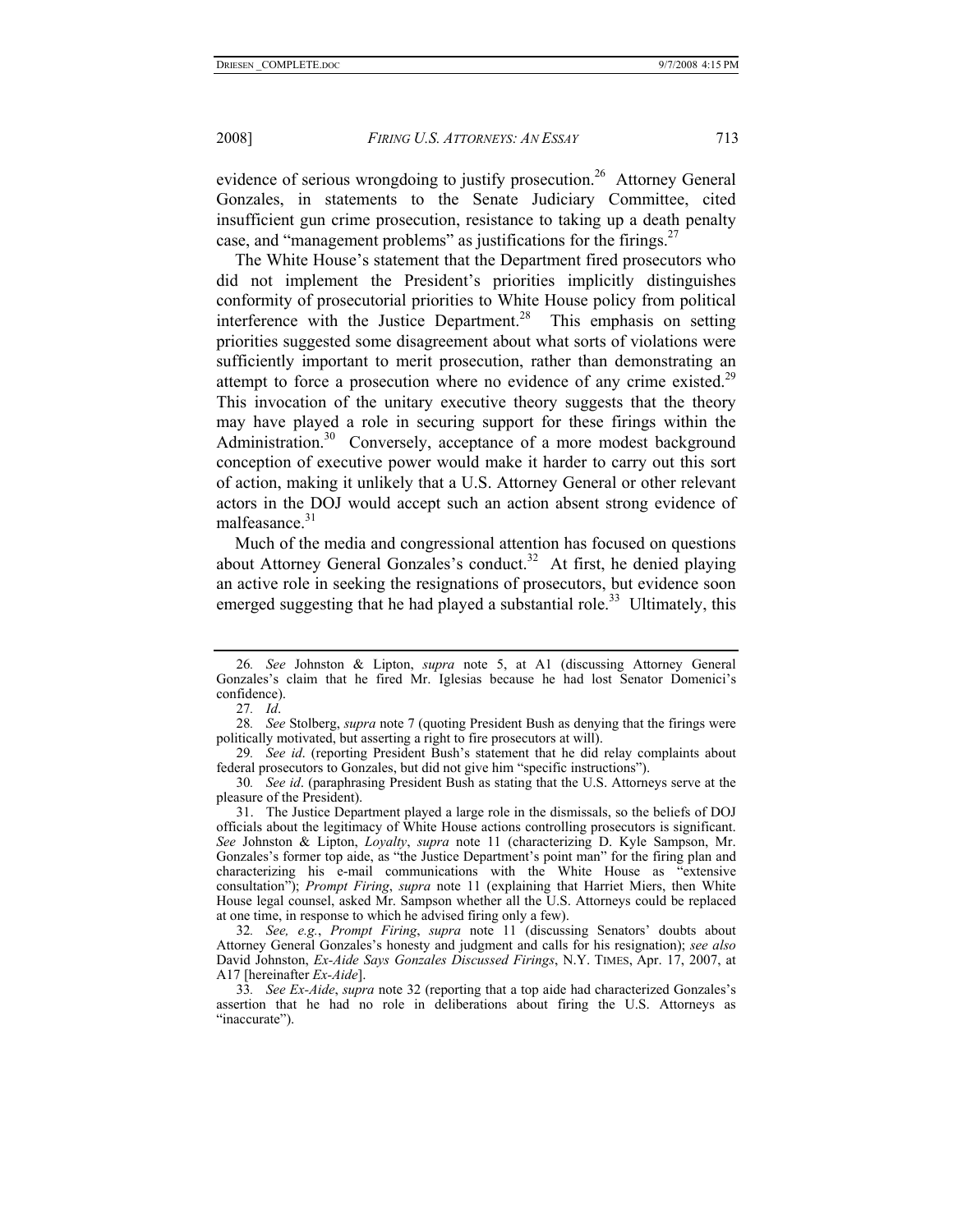evidence of serious wrongdoing to justify prosecution.<sup>26</sup> Attorney General Gonzales, in statements to the Senate Judiciary Committee, cited insufficient gun crime prosecution, resistance to taking up a death penalty case, and "management problems" as justifications for the firings. $27$ 

The White House's statement that the Department fired prosecutors who did not implement the President's priorities implicitly distinguishes conformity of prosecutorial priorities to White House policy from political interference with the Justice Department.<sup>28</sup> This emphasis on setting priorities suggested some disagreement about what sorts of violations were sufficiently important to merit prosecution, rather than demonstrating an attempt to force a prosecution where no evidence of any crime existed.<sup>29</sup> This invocation of the unitary executive theory suggests that the theory may have played a role in securing support for these firings within the Administration.<sup>30</sup> Conversely, acceptance of a more modest background conception of executive power would make it harder to carry out this sort of action, making it unlikely that a U.S. Attorney General or other relevant actors in the DOJ would accept such an action absent strong evidence of malfeasance.<sup>31</sup>

Much of the media and congressional attention has focused on questions about Attorney General Gonzales's conduct.<sup>32</sup> At first, he denied playing an active role in seeking the resignations of prosecutors, but evidence soon emerged suggesting that he had played a substantial role.<sup>33</sup> Ultimately, this

<sup>26</sup>*. See* Johnston & Lipton, *supra* note 5, at A1 (discussing Attorney General Gonzales's claim that he fired Mr. Iglesias because he had lost Senator Domenici's confidence).

<sup>27</sup>*. Id*.

<sup>28</sup>*. See* Stolberg, *supra* note 7 (quoting President Bush as denying that the firings were politically motivated, but asserting a right to fire prosecutors at will).

<sup>29</sup>*. See id*. (reporting President Bush's statement that he did relay complaints about federal prosecutors to Gonzales, but did not give him "specific instructions").

<sup>30</sup>*. See id*. (paraphrasing President Bush as stating that the U.S. Attorneys serve at the pleasure of the President).

 <sup>31.</sup> The Justice Department played a large role in the dismissals, so the beliefs of DOJ officials about the legitimacy of White House actions controlling prosecutors is significant. *See* Johnston & Lipton, *Loyalty*, *supra* note 11 (characterizing D. Kyle Sampson, Mr. Gonzales's former top aide, as "the Justice Department's point man" for the firing plan and characterizing his e-mail communications with the White House as "extensive consultation"); *Prompt Firing*, *supra* note 11 (explaining that Harriet Miers, then White House legal counsel, asked Mr. Sampson whether all the U.S. Attorneys could be replaced at one time, in response to which he advised firing only a few).

<sup>32</sup>*. See, e.g.*, *Prompt Firing*, *supra* note 11 (discussing Senators' doubts about Attorney General Gonzales's honesty and judgment and calls for his resignation); *see also* David Johnston, *Ex-Aide Says Gonzales Discussed Firings*, N.Y. TIMES, Apr. 17, 2007, at A17 [hereinafter *Ex-Aide*].

<sup>33</sup>*. See Ex-Aide*, *supra* note 32 (reporting that a top aide had characterized Gonzales's assertion that he had no role in deliberations about firing the U.S. Attorneys as "inaccurate").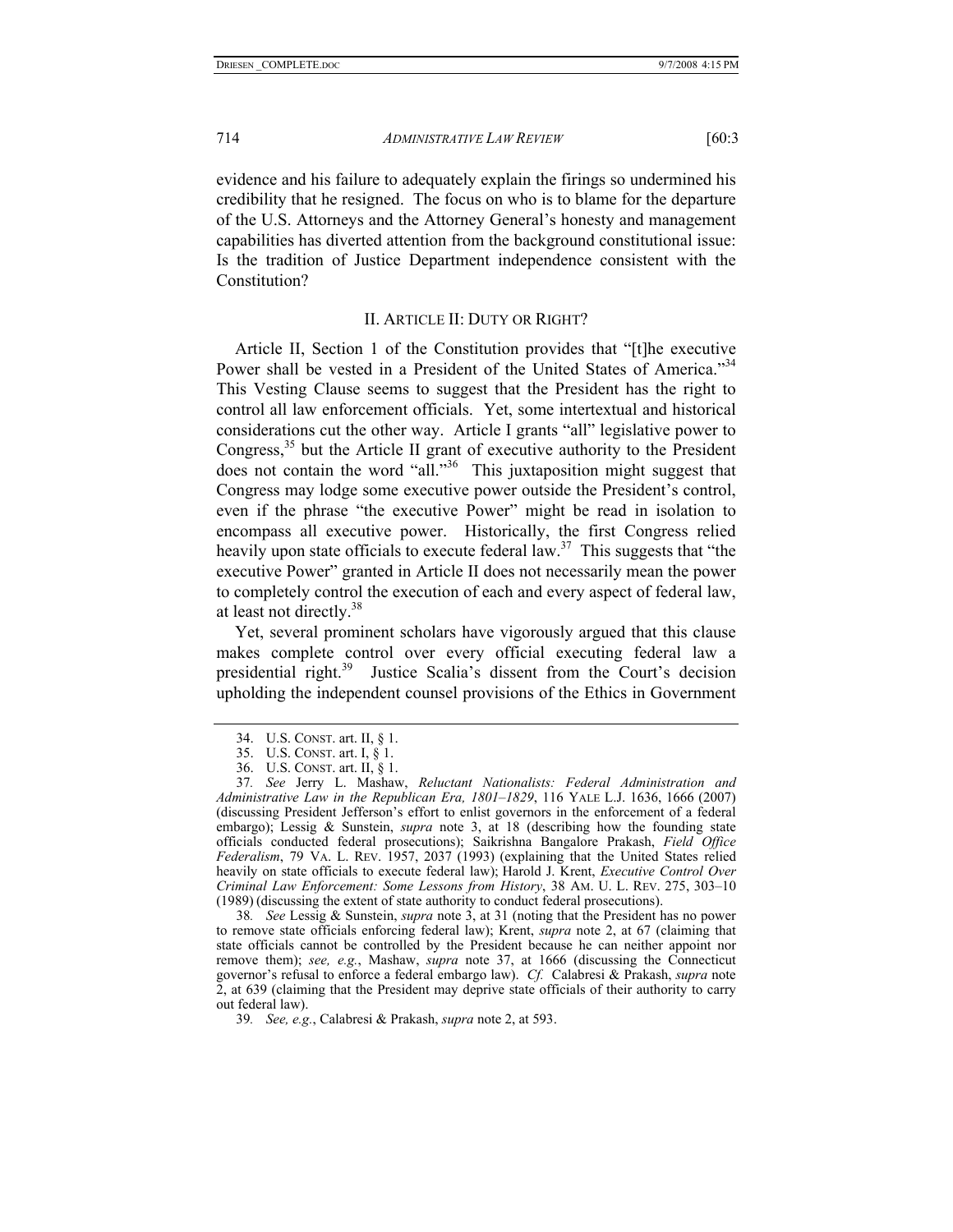evidence and his failure to adequately explain the firings so undermined his credibility that he resigned. The focus on who is to blame for the departure of the U.S. Attorneys and the Attorney General's honesty and management capabilities has diverted attention from the background constitutional issue: Is the tradition of Justice Department independence consistent with the Constitution?

### II. ARTICLE II: DUTY OR RIGHT?

Article II, Section 1 of the Constitution provides that "[t]he executive Power shall be vested in a President of the United States of America."<sup>34</sup> This Vesting Clause seems to suggest that the President has the right to control all law enforcement officials. Yet, some intertextual and historical considerations cut the other way. Article I grants "all" legislative power to Congress, $35$  but the Article II grant of executive authority to the President does not contain the word "all."36 This juxtaposition might suggest that Congress may lodge some executive power outside the President's control, even if the phrase "the executive Power" might be read in isolation to encompass all executive power. Historically, the first Congress relied heavily upon state officials to execute federal law.<sup>37</sup> This suggests that "the executive Power" granted in Article II does not necessarily mean the power to completely control the execution of each and every aspect of federal law, at least not directly.<sup>38</sup>

Yet, several prominent scholars have vigorously argued that this clause makes complete control over every official executing federal law a presidential right.<sup>39</sup> Justice Scalia's dissent from the Court's decision upholding the independent counsel provisions of the Ethics in Government

38*. See* Lessig & Sunstein, *supra* note 3, at 31 (noting that the President has no power to remove state officials enforcing federal law); Krent, *supra* note 2, at 67 (claiming that state officials cannot be controlled by the President because he can neither appoint nor remove them); *see, e.g.*, Mashaw, *supra* note 37, at 1666 (discussing the Connecticut governor's refusal to enforce a federal embargo law). *Cf.* Calabresi & Prakash, *supra* note  $\tilde{2}$ , at 639 (claiming that the President may deprive state officials of their authority to carry out federal law).

 <sup>34.</sup> U.S. CONST. art. II, § 1.

 <sup>35.</sup> U.S. CONST. art. I, § 1.

 <sup>36.</sup> U.S. CONST. art. II, § 1.

<sup>37</sup>*. See* Jerry L. Mashaw, *Reluctant Nationalists: Federal Administration and Administrative Law in the Republican Era, 1801–1829*, 116 YALE L.J. 1636, 1666 (2007) (discussing President Jefferson's effort to enlist governors in the enforcement of a federal embargo); Lessig & Sunstein, *supra* note 3, at 18 (describing how the founding state officials conducted federal prosecutions); Saikrishna Bangalore Prakash, *Field Office Federalism*, 79 VA. L. REV. 1957, 2037 (1993) (explaining that the United States relied heavily on state officials to execute federal law); Harold J. Krent, *Executive Control Over Criminal Law Enforcement: Some Lessons from History*, 38 AM. U. L. REV. 275, 303–10 (1989) (discussing the extent of state authority to conduct federal prosecutions).

<sup>39</sup>*. See, e.g.*, Calabresi & Prakash, *supra* note 2, at 593.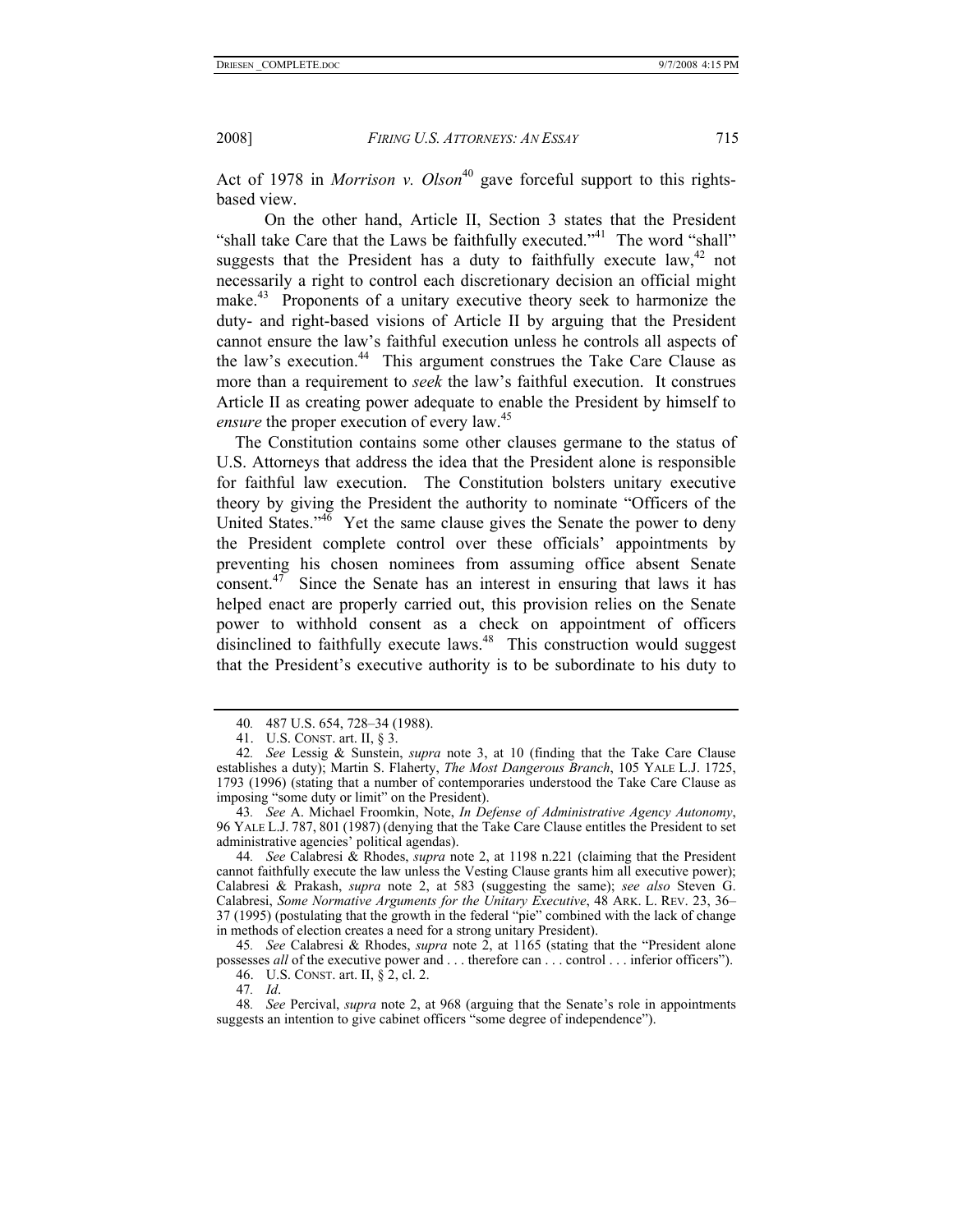Act of 1978 in *Morrison v. Olson*<sup>40</sup> gave forceful support to this rightsbased view.

 On the other hand, Article II, Section 3 states that the President "shall take Care that the Laws be faithfully executed."<sup>41</sup> The word "shall" suggests that the President has a duty to faithfully execute law,  $42$  not necessarily a right to control each discretionary decision an official might make.<sup>43</sup> Proponents of a unitary executive theory seek to harmonize the duty- and right-based visions of Article II by arguing that the President cannot ensure the law's faithful execution unless he controls all aspects of the law's execution.<sup>44</sup> This argument construes the Take Care Clause as more than a requirement to *seek* the law's faithful execution. It construes Article II as creating power adequate to enable the President by himself to *ensure* the proper execution of every law.<sup>45</sup>

The Constitution contains some other clauses germane to the status of U.S. Attorneys that address the idea that the President alone is responsible for faithful law execution. The Constitution bolsters unitary executive theory by giving the President the authority to nominate "Officers of the United States."<sup>46</sup> Yet the same clause gives the Senate the power to deny the President complete control over these officials' appointments by preventing his chosen nominees from assuming office absent Senate consent. $47$  Since the Senate has an interest in ensuring that laws it has helped enact are properly carried out, this provision relies on the Senate power to withhold consent as a check on appointment of officers disinclined to faithfully execute laws. $48$  This construction would suggest that the President's executive authority is to be subordinate to his duty to

43*. See* A. Michael Froomkin, Note, *In Defense of Administrative Agency Autonomy*, 96 YALE L.J. 787, 801 (1987) (denying that the Take Care Clause entitles the President to set administrative agencies' political agendas).

44*. See* Calabresi & Rhodes, *supra* note 2, at 1198 n.221 (claiming that the President cannot faithfully execute the law unless the Vesting Clause grants him all executive power); Calabresi & Prakash, *supra* note 2, at 583 (suggesting the same); *see also* Steven G. Calabresi, *Some Normative Arguments for the Unitary Executive*, 48 ARK. L. REV. 23, 36– 37 (1995) (postulating that the growth in the federal "pie" combined with the lack of change in methods of election creates a need for a strong unitary President).

45*. See* Calabresi & Rhodes, *supra* note 2, at 1165 (stating that the "President alone possesses *all* of the executive power and . . . therefore can . . . control . . . inferior officers").

46. U.S. CONST. art. II, § 2, cl. 2.

47*. Id*.

48*. See* Percival, *supra* note 2, at 968 (arguing that the Senate's role in appointments suggests an intention to give cabinet officers "some degree of independence").

<sup>40</sup>*.* 487 U.S. 654, 728–34 (1988).

 <sup>41.</sup> U.S. CONST. art. II, § 3.

<sup>42</sup>*. See* Lessig & Sunstein, *supra* note 3, at 10 (finding that the Take Care Clause establishes a duty); Martin S. Flaherty, *The Most Dangerous Branch*, 105 YALE L.J. 1725, 1793 (1996) (stating that a number of contemporaries understood the Take Care Clause as imposing "some duty or limit" on the President).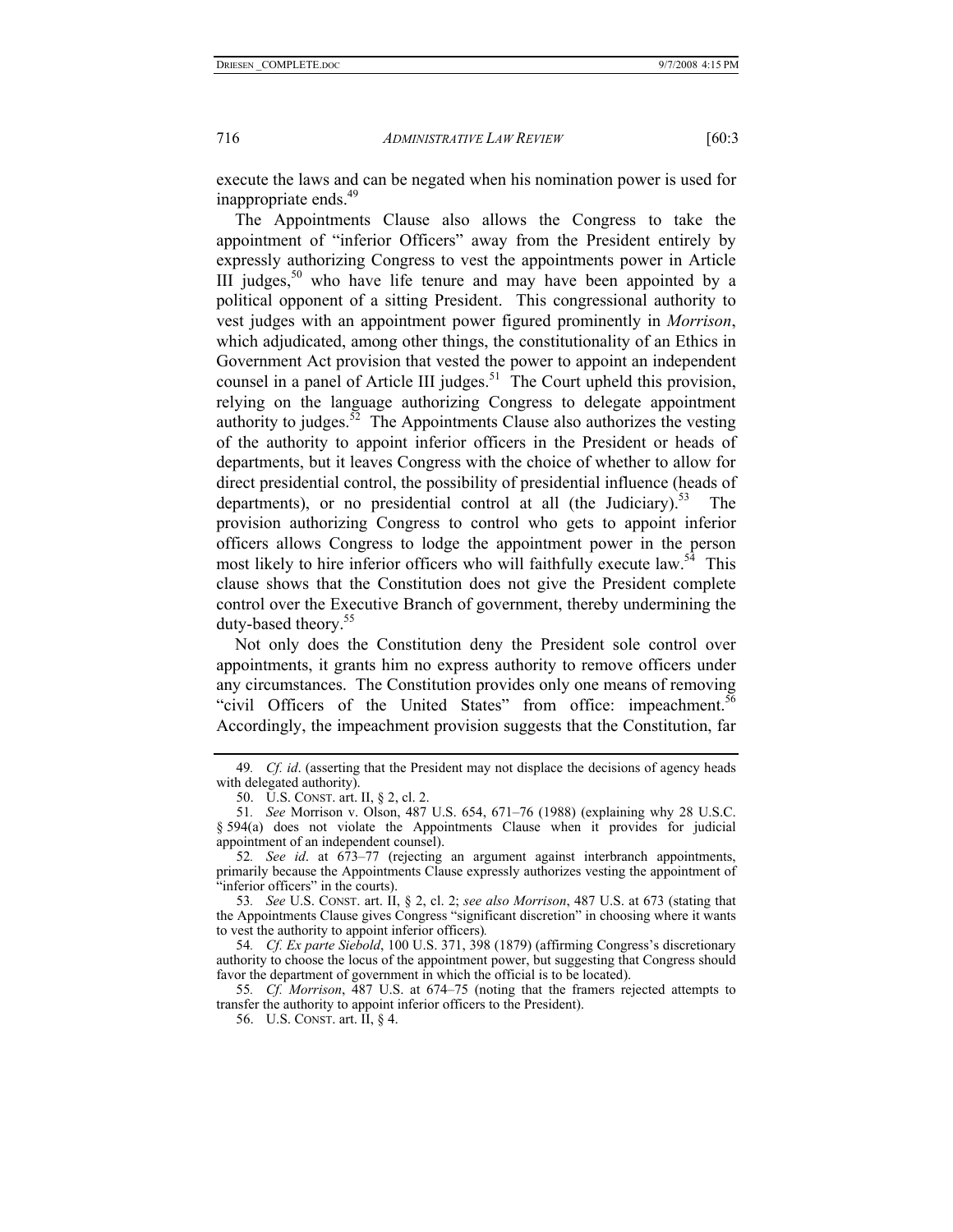execute the laws and can be negated when his nomination power is used for inappropriate ends.<sup>49</sup>

The Appointments Clause also allows the Congress to take the appointment of "inferior Officers" away from the President entirely by expressly authorizing Congress to vest the appointments power in Article III judges,  $50$  who have life tenure and may have been appointed by a political opponent of a sitting President. This congressional authority to vest judges with an appointment power figured prominently in *Morrison*, which adjudicated, among other things, the constitutionality of an Ethics in Government Act provision that vested the power to appoint an independent counsel in a panel of Article III judges.<sup>51</sup> The Court upheld this provision, relying on the language authorizing Congress to delegate appointment authority to judges.<sup>52</sup> The Appointments Clause also authorizes the vesting of the authority to appoint inferior officers in the President or heads of departments, but it leaves Congress with the choice of whether to allow for direct presidential control, the possibility of presidential influence (heads of departments), or no presidential control at all (the Judiciary).<sup>53</sup> The provision authorizing Congress to control who gets to appoint inferior officers allows Congress to lodge the appointment power in the person most likely to hire inferior officers who will faithfully execute law.<sup>54</sup> This clause shows that the Constitution does not give the President complete control over the Executive Branch of government, thereby undermining the duty-based theory.55

Not only does the Constitution deny the President sole control over appointments, it grants him no express authority to remove officers under any circumstances. The Constitution provides only one means of removing "civil Officers of the United States" from office: impeachment.<sup>56</sup> Accordingly, the impeachment provision suggests that the Constitution, far

54*. Cf. Ex parte Siebold*, 100 U.S. 371, 398 (1879) (affirming Congress's discretionary authority to choose the locus of the appointment power, but suggesting that Congress should favor the department of government in which the official is to be located).

55*. Cf. Morrison*, 487 U.S. at 674–75 (noting that the framers rejected attempts to transfer the authority to appoint inferior officers to the President).

56. U.S. CONST. art. II, § 4.

<sup>49</sup>*. Cf. id*. (asserting that the President may not displace the decisions of agency heads with delegated authority).

 <sup>50.</sup> U.S. CONST. art. II, § 2, cl. 2.

<sup>51</sup>*. See* Morrison v. Olson, 487 U.S. 654, 671–76 (1988) (explaining why 28 U.S.C. § 594(a) does not violate the Appointments Clause when it provides for judicial appointment of an independent counsel).

<sup>52</sup>*. See id*. at 673–77 (rejecting an argument against interbranch appointments, primarily because the Appointments Clause expressly authorizes vesting the appointment of "inferior officers" in the courts).

<sup>53</sup>*. See* U.S. CONST. art. II, § 2, cl. 2; *see also Morrison*, 487 U.S. at 673 (stating that the Appointments Clause gives Congress "significant discretion" in choosing where it wants to vest the authority to appoint inferior officers)*.*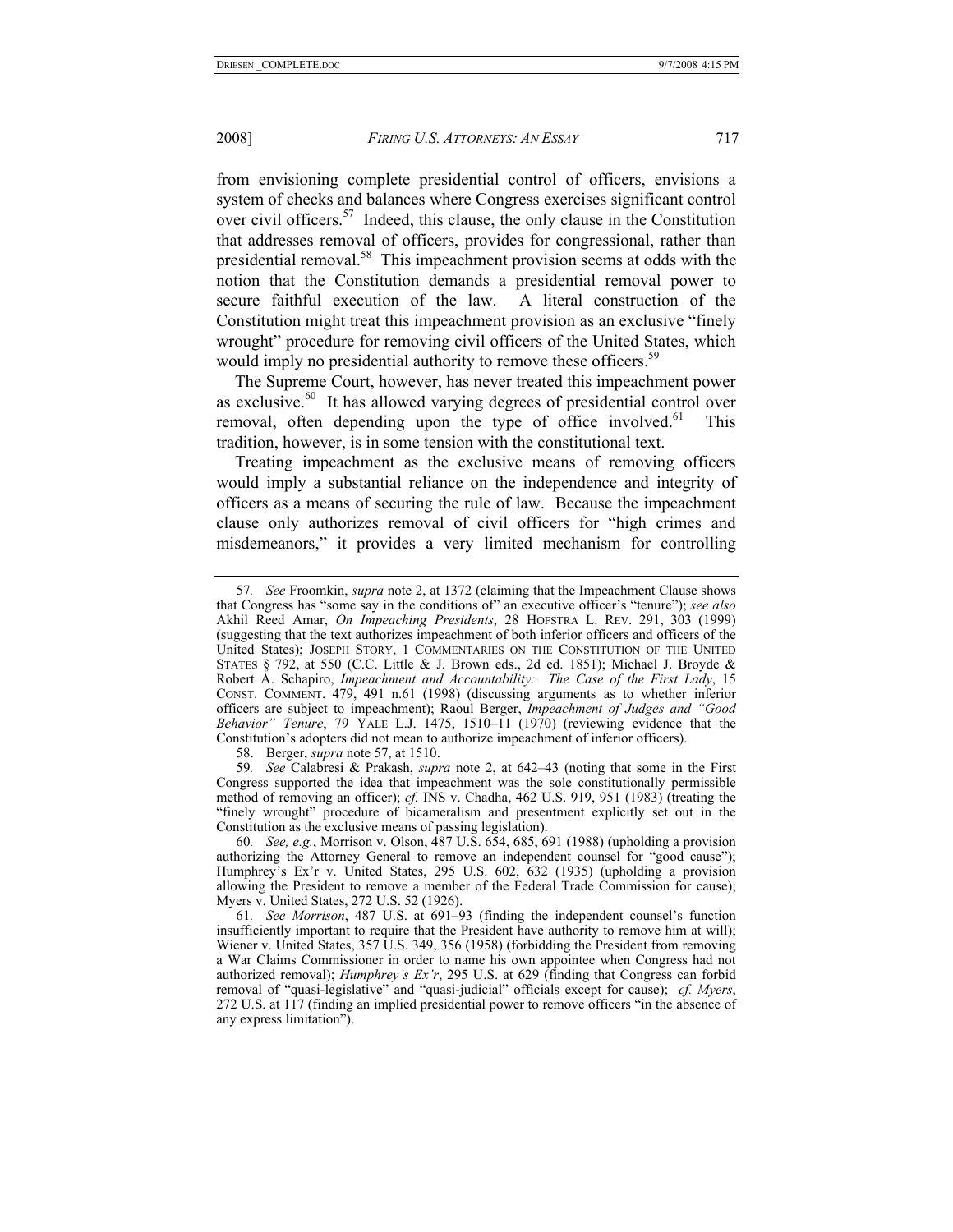from envisioning complete presidential control of officers, envisions a system of checks and balances where Congress exercises significant control over civil officers.<sup>57</sup> Indeed, this clause, the only clause in the Constitution that addresses removal of officers, provides for congressional, rather than presidential removal.58 This impeachment provision seems at odds with the notion that the Constitution demands a presidential removal power to secure faithful execution of the law. A literal construction of the Constitution might treat this impeachment provision as an exclusive "finely wrought" procedure for removing civil officers of the United States, which would imply no presidential authority to remove these officers.<sup>59</sup>

The Supreme Court, however, has never treated this impeachment power as exclusive.<sup>60</sup> It has allowed varying degrees of presidential control over removal, often depending upon the type of office involved.<sup>61</sup> This tradition, however, is in some tension with the constitutional text.

Treating impeachment as the exclusive means of removing officers would imply a substantial reliance on the independence and integrity of officers as a means of securing the rule of law. Because the impeachment clause only authorizes removal of civil officers for "high crimes and misdemeanors," it provides a very limited mechanism for controlling

58. Berger, *supra* note 57, at 1510.

59*. See* Calabresi & Prakash, *supra* note 2, at 642–43 (noting that some in the First Congress supported the idea that impeachment was the sole constitutionally permissible method of removing an officer); *cf.* INS v. Chadha, 462 U.S. 919, 951 (1983) (treating the "finely wrought" procedure of bicameralism and presentment explicitly set out in the Constitution as the exclusive means of passing legislation).

60*. See, e.g.*, Morrison v. Olson, 487 U.S. 654, 685, 691 (1988) (upholding a provision authorizing the Attorney General to remove an independent counsel for "good cause"); Humphrey's Ex'r v. United States, 295 U.S. 602, 632 (1935) (upholding a provision allowing the President to remove a member of the Federal Trade Commission for cause); Myers v. United States, 272 U.S. 52 (1926).

61*. See Morrison*, 487 U.S. at 691–93 (finding the independent counsel's function insufficiently important to require that the President have authority to remove him at will); Wiener v. United States, 357 U.S. 349, 356 (1958) (forbidding the President from removing a War Claims Commissioner in order to name his own appointee when Congress had not authorized removal); *Humphrey's Ex'r*, 295 U.S. at 629 (finding that Congress can forbid removal of "quasi-legislative" and "quasi-judicial" officials except for cause); *cf. Myers*, 272 U.S. at 117 (finding an implied presidential power to remove officers "in the absence of any express limitation").

<sup>57</sup>*. See* Froomkin, *supra* note 2, at 1372 (claiming that the Impeachment Clause shows that Congress has "some say in the conditions of" an executive officer's "tenure"); *see also*  Akhil Reed Amar, *On Impeaching Presidents*, 28 HOFSTRA L. REV. 291, 303 (1999) (suggesting that the text authorizes impeachment of both inferior officers and officers of the United States); JOSEPH STORY, 1 COMMENTARIES ON THE CONSTITUTION OF THE UNITED STATES § 792, at 550 (C.C. Little & J. Brown eds., 2d ed. 1851); Michael J. Broyde & Robert A. Schapiro, *Impeachment and Accountability: The Case of the First Lady*, 15 CONST. COMMENT. 479, 491 n.61 (1998) (discussing arguments as to whether inferior officers are subject to impeachment); Raoul Berger, *Impeachment of Judges and "Good Behavior" Tenure*, 79 YALE L.J. 1475, 1510–11 (1970) (reviewing evidence that the Constitution's adopters did not mean to authorize impeachment of inferior officers).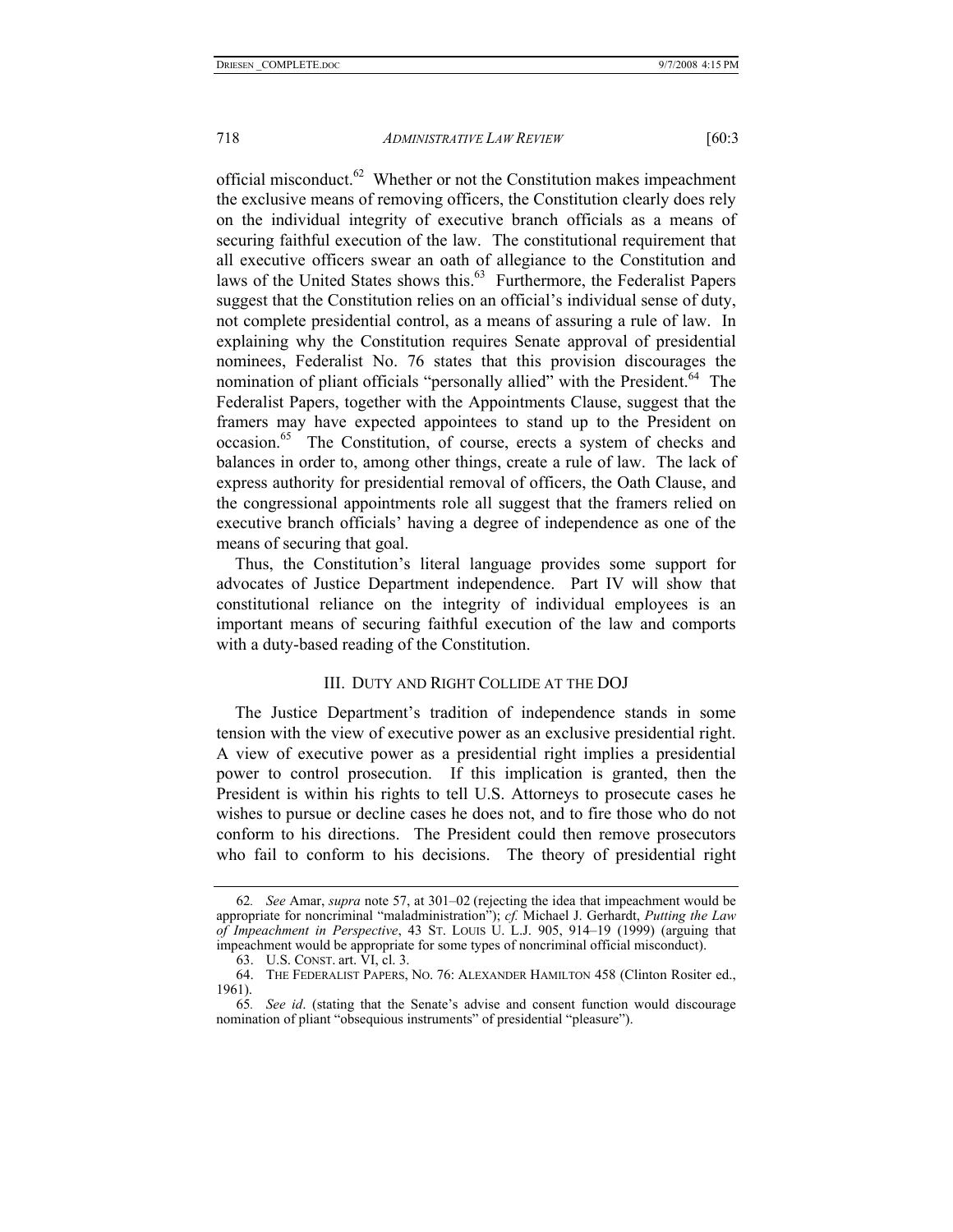official misconduct. $62$  Whether or not the Constitution makes impeachment the exclusive means of removing officers, the Constitution clearly does rely on the individual integrity of executive branch officials as a means of securing faithful execution of the law. The constitutional requirement that all executive officers swear an oath of allegiance to the Constitution and laws of the United States shows this.<sup>63</sup> Furthermore, the Federalist Papers suggest that the Constitution relies on an official's individual sense of duty, not complete presidential control, as a means of assuring a rule of law. In explaining why the Constitution requires Senate approval of presidential nominees, Federalist No. 76 states that this provision discourages the nomination of pliant officials "personally allied" with the President.<sup>64</sup> The Federalist Papers, together with the Appointments Clause, suggest that the framers may have expected appointees to stand up to the President on occasion.65 The Constitution, of course, erects a system of checks and balances in order to, among other things, create a rule of law. The lack of express authority for presidential removal of officers, the Oath Clause, and the congressional appointments role all suggest that the framers relied on executive branch officials' having a degree of independence as one of the means of securing that goal.

Thus, the Constitution's literal language provides some support for advocates of Justice Department independence. Part IV will show that constitutional reliance on the integrity of individual employees is an important means of securing faithful execution of the law and comports with a duty-based reading of the Constitution.

#### III. DUTY AND RIGHT COLLIDE AT THE DOJ

The Justice Department's tradition of independence stands in some tension with the view of executive power as an exclusive presidential right. A view of executive power as a presidential right implies a presidential power to control prosecution. If this implication is granted, then the President is within his rights to tell U.S. Attorneys to prosecute cases he wishes to pursue or decline cases he does not, and to fire those who do not conform to his directions. The President could then remove prosecutors who fail to conform to his decisions. The theory of presidential right

<sup>62</sup>*. See* Amar, *supra* note 57, at 301–02 (rejecting the idea that impeachment would be appropriate for noncriminal "maladministration"); *cf.* Michael J. Gerhardt, *Putting the Law of Impeachment in Perspective*, 43 ST. LOUIS U. L.J. 905, 914–19 (1999) (arguing that impeachment would be appropriate for some types of noncriminal official misconduct).

 <sup>63.</sup> U.S. CONST. art. VI, cl. 3.

 <sup>64.</sup> THE FEDERALIST PAPERS, NO. 76: ALEXANDER HAMILTON 458 (Clinton Rositer ed., 1961).

<sup>65</sup>*. See id*. (stating that the Senate's advise and consent function would discourage nomination of pliant "obsequious instruments" of presidential "pleasure").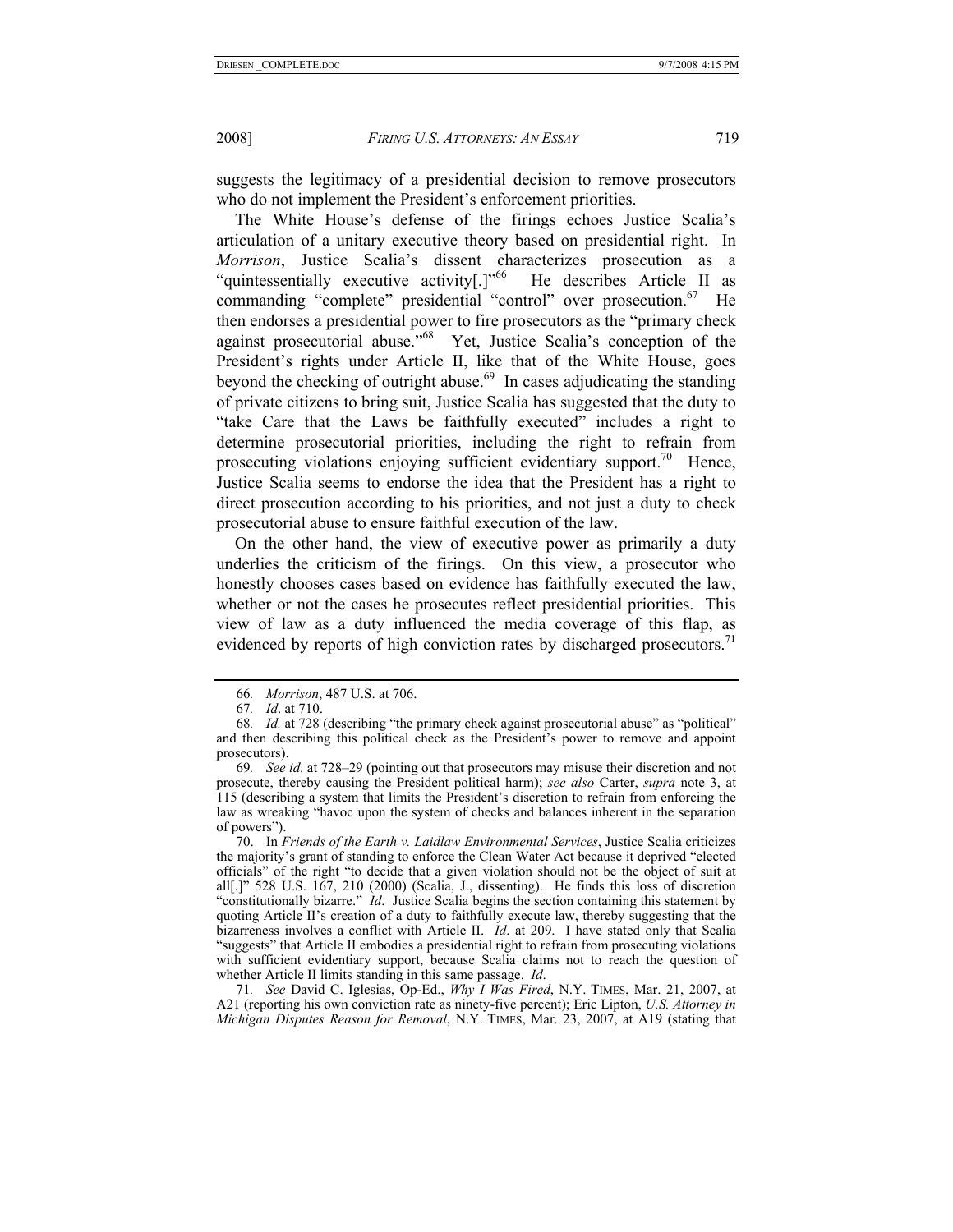suggests the legitimacy of a presidential decision to remove prosecutors who do not implement the President's enforcement priorities.

The White House's defense of the firings echoes Justice Scalia's articulation of a unitary executive theory based on presidential right. In *Morrison*, Justice Scalia's dissent characterizes prosecution as a "quintessentially executive activity[.]"66 He describes Article II as commanding "complete" presidential "control" over prosecution.<sup>67</sup> He then endorses a presidential power to fire prosecutors as the "primary check against prosecutorial abuse."68 Yet, Justice Scalia's conception of the President's rights under Article II, like that of the White House, goes beyond the checking of outright abuse.<sup>69</sup> In cases adjudicating the standing of private citizens to bring suit, Justice Scalia has suggested that the duty to "take Care that the Laws be faithfully executed" includes a right to determine prosecutorial priorities, including the right to refrain from prosecuting violations enjoying sufficient evidentiary support.<sup>70</sup> Hence, Justice Scalia seems to endorse the idea that the President has a right to direct prosecution according to his priorities, and not just a duty to check prosecutorial abuse to ensure faithful execution of the law.

On the other hand, the view of executive power as primarily a duty underlies the criticism of the firings. On this view, a prosecutor who honestly chooses cases based on evidence has faithfully executed the law, whether or not the cases he prosecutes reflect presidential priorities. This view of law as a duty influenced the media coverage of this flap, as evidenced by reports of high conviction rates by discharged prosecutors.<sup>71</sup>

 70. In *Friends of the Earth v. Laidlaw Environmental Services*, Justice Scalia criticizes the majority's grant of standing to enforce the Clean Water Act because it deprived "elected officials" of the right "to decide that a given violation should not be the object of suit at all[.]" 528 U.S. 167, 210 (2000) (Scalia, J., dissenting). He finds this loss of discretion "constitutionally bizarre." *Id*. Justice Scalia begins the section containing this statement by quoting Article II's creation of a duty to faithfully execute law, thereby suggesting that the bizarreness involves a conflict with Article II. *Id*. at 209. I have stated only that Scalia "suggests" that Article II embodies a presidential right to refrain from prosecuting violations with sufficient evidentiary support, because Scalia claims not to reach the question of whether Article II limits standing in this same passage. *Id*.

71*. See* David C. Iglesias, Op-Ed., *Why I Was Fired*, N.Y. TIMES, Mar. 21, 2007, at A21 (reporting his own conviction rate as ninety-five percent); Eric Lipton, *U.S. Attorney in Michigan Disputes Reason for Removal*, N.Y. TIMES, Mar. 23, 2007, at A19 (stating that

<sup>66</sup>*. Morrison*, 487 U.S. at 706.

<sup>67</sup>*. Id*. at 710.

<sup>68</sup>*. Id.* at 728 (describing "the primary check against prosecutorial abuse" as "political" and then describing this political check as the President's power to remove and appoint prosecutors).

<sup>69</sup>*. See id*. at 728–29 (pointing out that prosecutors may misuse their discretion and not prosecute, thereby causing the President political harm); *see also* Carter, *supra* note 3, at 115 (describing a system that limits the President's discretion to refrain from enforcing the law as wreaking "havoc upon the system of checks and balances inherent in the separation of powers").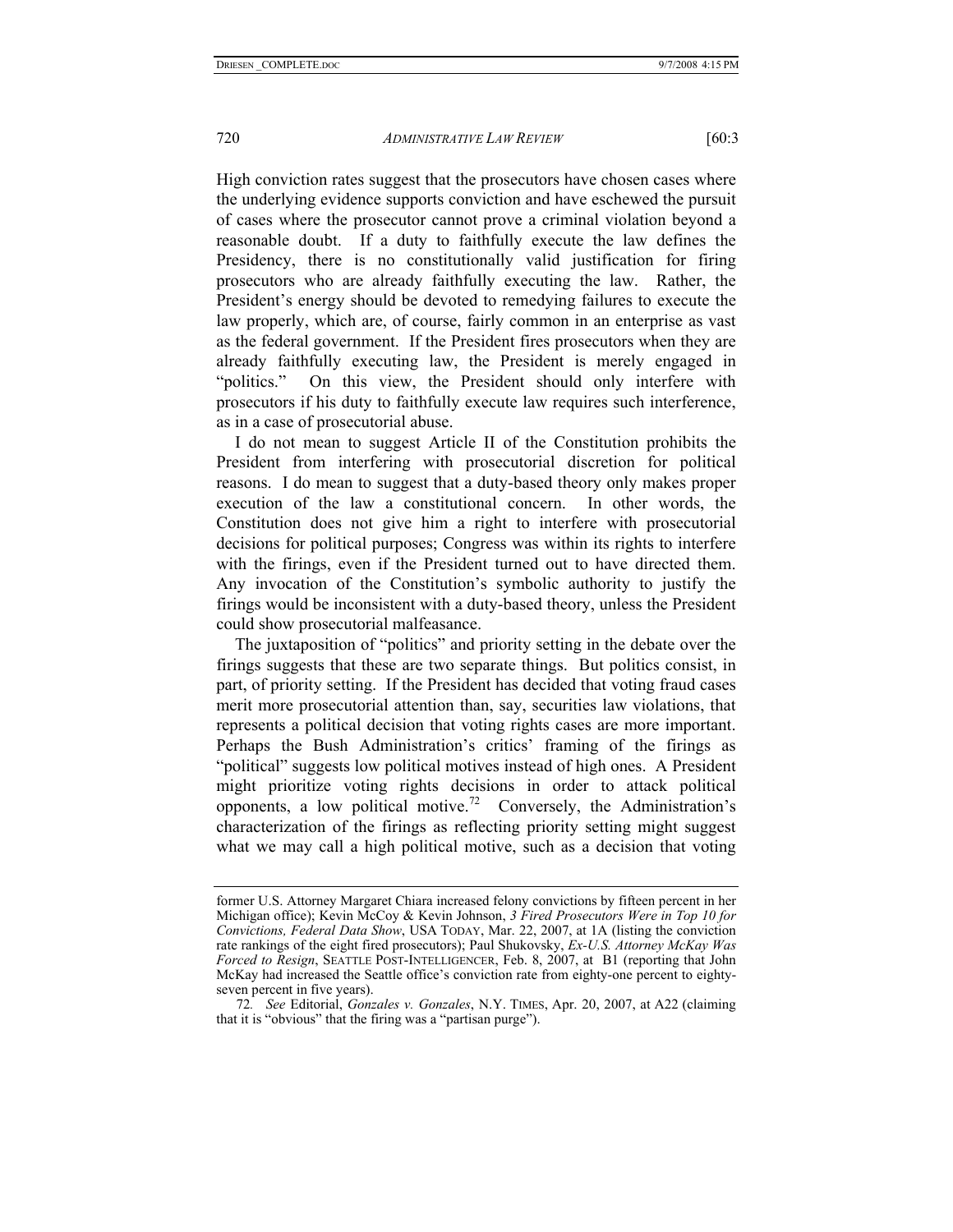High conviction rates suggest that the prosecutors have chosen cases where the underlying evidence supports conviction and have eschewed the pursuit of cases where the prosecutor cannot prove a criminal violation beyond a reasonable doubt. If a duty to faithfully execute the law defines the Presidency, there is no constitutionally valid justification for firing prosecutors who are already faithfully executing the law. Rather, the President's energy should be devoted to remedying failures to execute the law properly, which are, of course, fairly common in an enterprise as vast as the federal government. If the President fires prosecutors when they are already faithfully executing law, the President is merely engaged in "politics." On this view, the President should only interfere with prosecutors if his duty to faithfully execute law requires such interference, as in a case of prosecutorial abuse.

I do not mean to suggest Article II of the Constitution prohibits the President from interfering with prosecutorial discretion for political reasons. I do mean to suggest that a duty-based theory only makes proper execution of the law a constitutional concern. In other words, the Constitution does not give him a right to interfere with prosecutorial decisions for political purposes; Congress was within its rights to interfere with the firings, even if the President turned out to have directed them. Any invocation of the Constitution's symbolic authority to justify the firings would be inconsistent with a duty-based theory, unless the President could show prosecutorial malfeasance.

The juxtaposition of "politics" and priority setting in the debate over the firings suggests that these are two separate things. But politics consist, in part, of priority setting. If the President has decided that voting fraud cases merit more prosecutorial attention than, say, securities law violations, that represents a political decision that voting rights cases are more important. Perhaps the Bush Administration's critics' framing of the firings as "political" suggests low political motives instead of high ones. A President might prioritize voting rights decisions in order to attack political opponents, a low political motive.<sup>72</sup> Conversely, the Administration's characterization of the firings as reflecting priority setting might suggest what we may call a high political motive, such as a decision that voting

former U.S. Attorney Margaret Chiara increased felony convictions by fifteen percent in her Michigan office); Kevin McCoy & Kevin Johnson, *3 Fired Prosecutors Were in Top 10 for Convictions, Federal Data Show*, USA TODAY, Mar. 22, 2007, at 1A (listing the conviction rate rankings of the eight fired prosecutors); Paul Shukovsky, *Ex-U.S. Attorney McKay Was Forced to Resign*, SEATTLE POST-INTELLIGENCER, Feb. 8, 2007, at B1 (reporting that John McKay had increased the Seattle office's conviction rate from eighty-one percent to eightyseven percent in five years).

<sup>72</sup>*. See* Editorial, *Gonzales v. Gonzales*, N.Y. TIMES, Apr. 20, 2007, at A22 (claiming that it is "obvious" that the firing was a "partisan purge").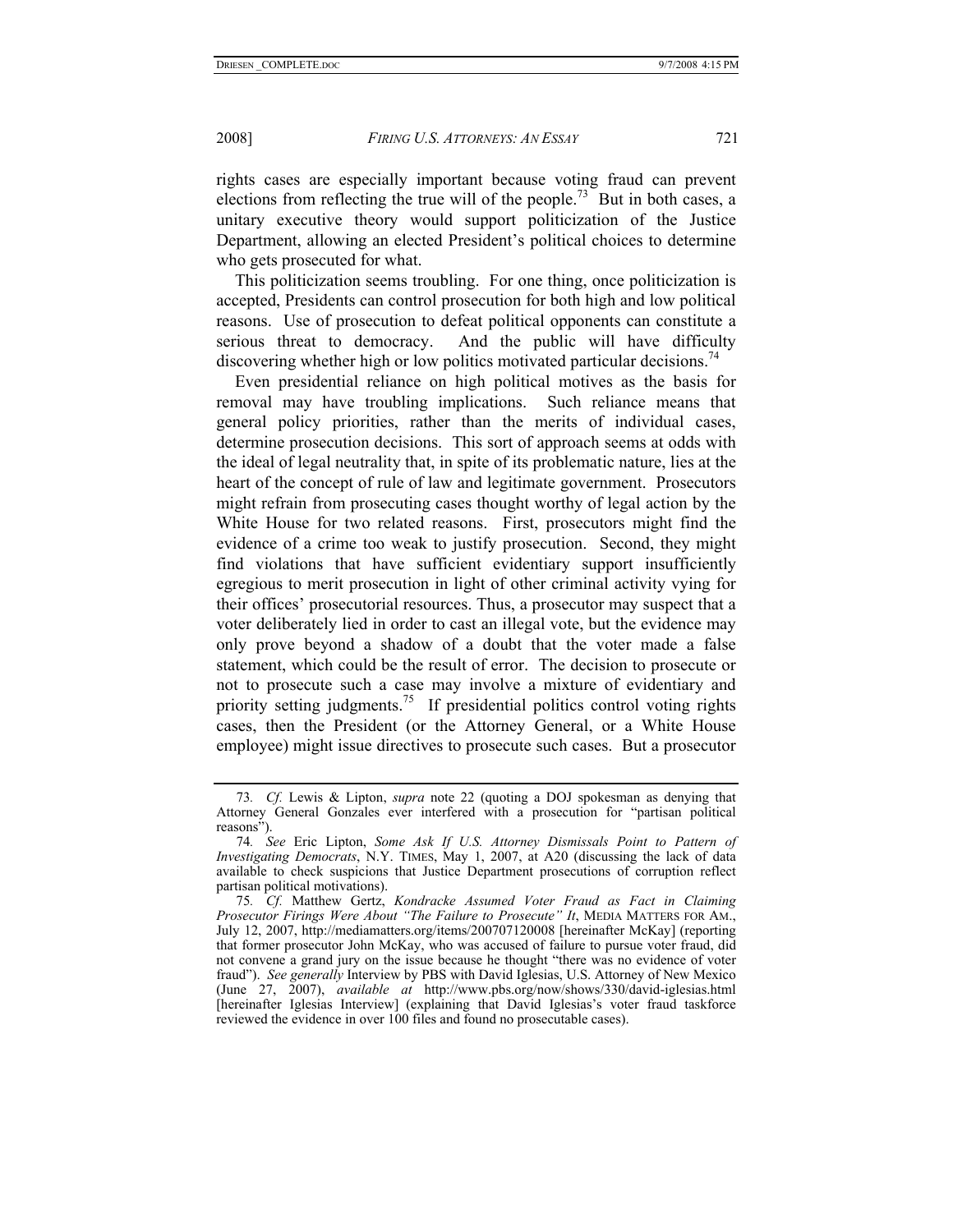rights cases are especially important because voting fraud can prevent elections from reflecting the true will of the people.<sup>73</sup> But in both cases, a unitary executive theory would support politicization of the Justice Department, allowing an elected President's political choices to determine who gets prosecuted for what.

This politicization seems troubling. For one thing, once politicization is accepted, Presidents can control prosecution for both high and low political reasons. Use of prosecution to defeat political opponents can constitute a serious threat to democracy. And the public will have difficulty discovering whether high or low politics motivated particular decisions.<sup>74</sup>

Even presidential reliance on high political motives as the basis for removal may have troubling implications. Such reliance means that general policy priorities, rather than the merits of individual cases, determine prosecution decisions. This sort of approach seems at odds with the ideal of legal neutrality that, in spite of its problematic nature, lies at the heart of the concept of rule of law and legitimate government. Prosecutors might refrain from prosecuting cases thought worthy of legal action by the White House for two related reasons. First, prosecutors might find the evidence of a crime too weak to justify prosecution. Second, they might find violations that have sufficient evidentiary support insufficiently egregious to merit prosecution in light of other criminal activity vying for their offices' prosecutorial resources. Thus, a prosecutor may suspect that a voter deliberately lied in order to cast an illegal vote, but the evidence may only prove beyond a shadow of a doubt that the voter made a false statement, which could be the result of error. The decision to prosecute or not to prosecute such a case may involve a mixture of evidentiary and priority setting judgments.<sup>75</sup> If presidential politics control voting rights cases, then the President (or the Attorney General, or a White House employee) might issue directives to prosecute such cases. But a prosecutor

<sup>73</sup>*. Cf.* Lewis & Lipton, *supra* note 22 (quoting a DOJ spokesman as denying that Attorney General Gonzales ever interfered with a prosecution for "partisan political reasons").

<sup>74</sup>*. See* Eric Lipton, *Some Ask If U.S. Attorney Dismissals Point to Pattern of Investigating Democrats*, N.Y. TIMES, May 1, 2007, at A20 (discussing the lack of data available to check suspicions that Justice Department prosecutions of corruption reflect partisan political motivations).

<sup>75</sup>*. Cf.* Matthew Gertz, *Kondracke Assumed Voter Fraud as Fact in Claiming Prosecutor Firings Were About "The Failure to Prosecute" It, MEDIA MATTERS FOR AM.,* July 12, 2007, http://mediamatters.org/items/200707120008 [hereinafter McKay] (reporting that former prosecutor John McKay, who was accused of failure to pursue voter fraud, did not convene a grand jury on the issue because he thought "there was no evidence of voter fraud"). *See generally* Interview by PBS with David Iglesias, U.S. Attorney of New Mexico (June 27, 2007), *available at* http://www.pbs.org/now/shows/330/david-iglesias.html [hereinafter Iglesias Interview] (explaining that David Iglesias's voter fraud taskforce reviewed the evidence in over 100 files and found no prosecutable cases).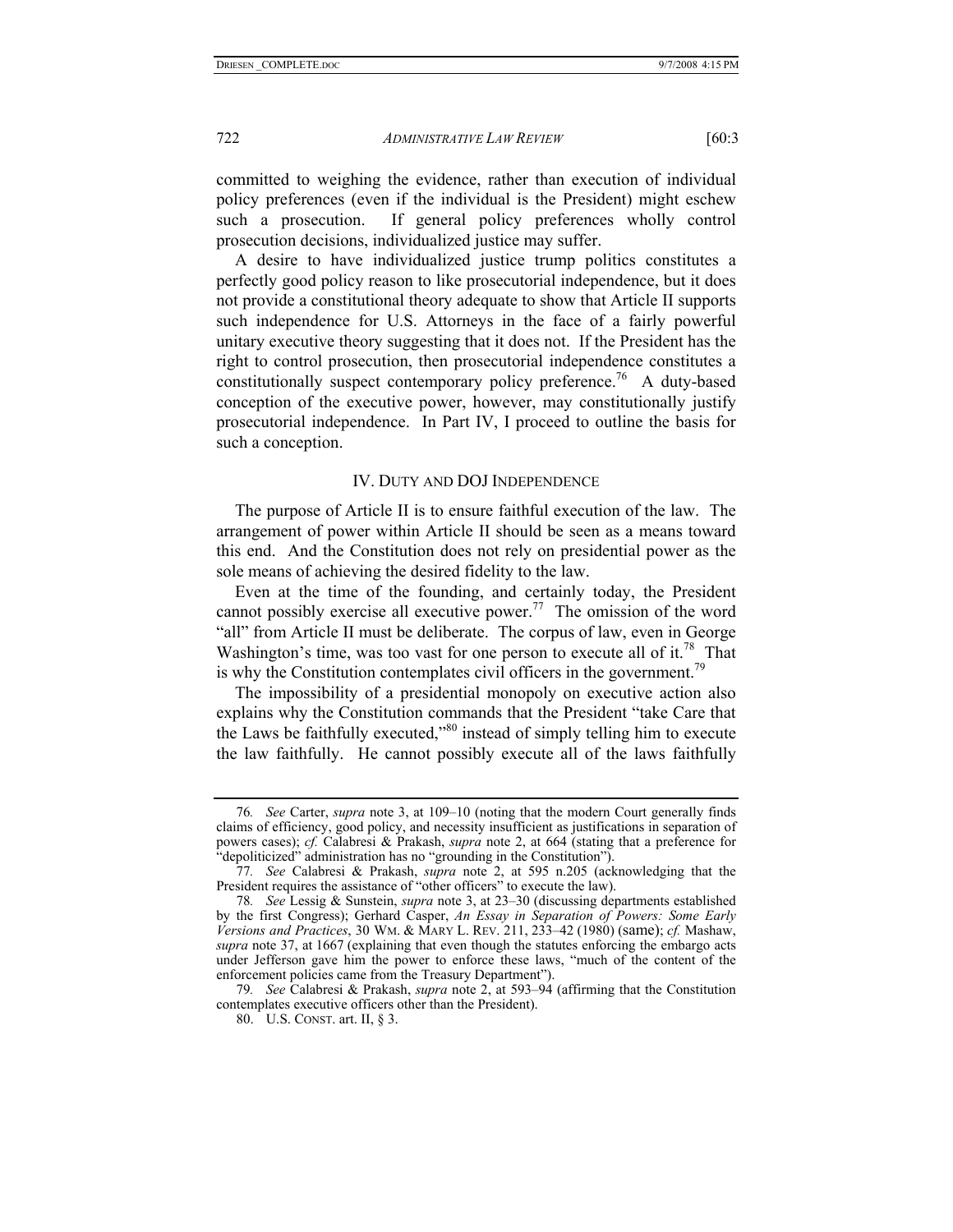committed to weighing the evidence, rather than execution of individual policy preferences (even if the individual is the President) might eschew such a prosecution. If general policy preferences wholly control prosecution decisions, individualized justice may suffer.

A desire to have individualized justice trump politics constitutes a perfectly good policy reason to like prosecutorial independence, but it does not provide a constitutional theory adequate to show that Article II supports such independence for U.S. Attorneys in the face of a fairly powerful unitary executive theory suggesting that it does not. If the President has the right to control prosecution, then prosecutorial independence constitutes a constitutionally suspect contemporary policy preference.<sup>76</sup> A duty-based conception of the executive power, however, may constitutionally justify prosecutorial independence. In Part IV, I proceed to outline the basis for such a conception.

#### IV. DUTY AND DOJ INDEPENDENCE

The purpose of Article II is to ensure faithful execution of the law. The arrangement of power within Article II should be seen as a means toward this end. And the Constitution does not rely on presidential power as the sole means of achieving the desired fidelity to the law.

Even at the time of the founding, and certainly today, the President cannot possibly exercise all executive power.<sup>77</sup> The omission of the word "all" from Article II must be deliberate. The corpus of law, even in George Washington's time, was too vast for one person to execute all of it.<sup>78</sup> That is why the Constitution contemplates civil officers in the government.<sup>79</sup>

The impossibility of a presidential monopoly on executive action also explains why the Constitution commands that the President "take Care that the Laws be faithfully executed,"80 instead of simply telling him to execute the law faithfully. He cannot possibly execute all of the laws faithfully

<sup>76</sup>*. See* Carter, *supra* note 3, at 109–10 (noting that the modern Court generally finds claims of efficiency, good policy, and necessity insufficient as justifications in separation of powers cases); *cf.* Calabresi & Prakash, *supra* note 2, at 664 (stating that a preference for "depoliticized" administration has no "grounding in the Constitution").

<sup>77</sup>*. See* Calabresi & Prakash, *supra* note 2, at 595 n.205 (acknowledging that the President requires the assistance of "other officers" to execute the law).

<sup>78</sup>*. See* Lessig & Sunstein, *supra* note 3, at 23–30 (discussing departments established by the first Congress); Gerhard Casper, *An Essay in Separation of Powers: Some Early Versions and Practices*, 30 WM. & MARY L. REV. 211, 233–42 (1980) (same); *cf.* Mashaw, *supra* note 37, at 1667 (explaining that even though the statutes enforcing the embargo acts under Jefferson gave him the power to enforce these laws, "much of the content of the enforcement policies came from the Treasury Department").

<sup>79</sup>*. See* Calabresi & Prakash, *supra* note 2, at 593–94 (affirming that the Constitution contemplates executive officers other than the President).

 <sup>80.</sup> U.S. CONST. art. II, § 3.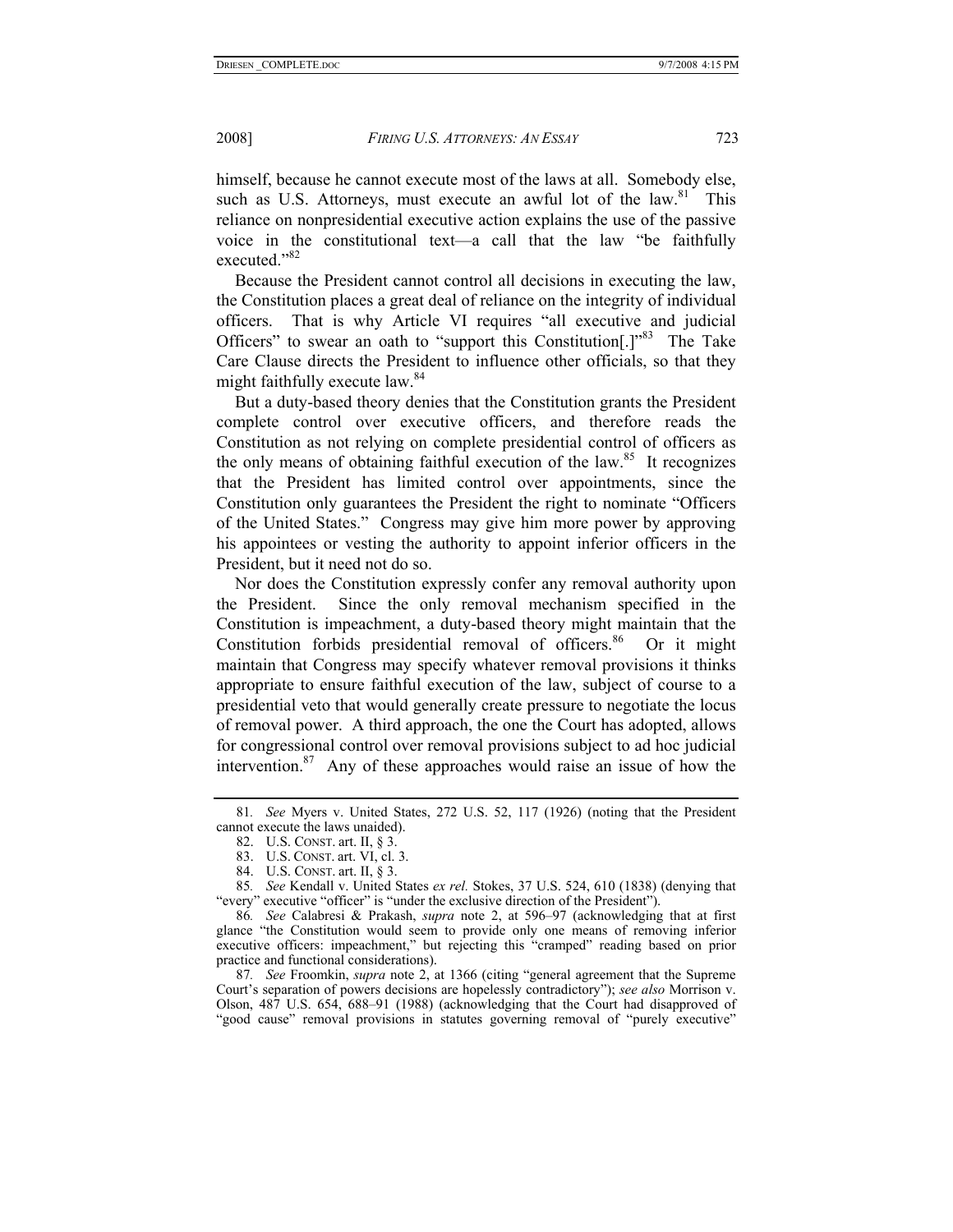himself, because he cannot execute most of the laws at all. Somebody else, such as U.S. Attorneys, must execute an awful lot of the  $law$ <sup>81</sup>. This reliance on nonpresidential executive action explains the use of the passive voice in the constitutional text—a call that the law "be faithfully executed."<sup>82</sup>

Because the President cannot control all decisions in executing the law, the Constitution places a great deal of reliance on the integrity of individual officers. That is why Article VI requires "all executive and judicial Officers" to swear an oath to "support this Constitution.<sup>[1,83</sup>] The Take Care Clause directs the President to influence other officials, so that they might faithfully execute law.<sup>84</sup>

But a duty-based theory denies that the Constitution grants the President complete control over executive officers, and therefore reads the Constitution as not relying on complete presidential control of officers as the only means of obtaining faithful execution of the law.<sup>85</sup> It recognizes that the President has limited control over appointments, since the Constitution only guarantees the President the right to nominate "Officers of the United States." Congress may give him more power by approving his appointees or vesting the authority to appoint inferior officers in the President, but it need not do so.

Nor does the Constitution expressly confer any removal authority upon the President. Since the only removal mechanism specified in the Constitution is impeachment, a duty-based theory might maintain that the Constitution forbids presidential removal of officers.<sup>86</sup> Or it might maintain that Congress may specify whatever removal provisions it thinks appropriate to ensure faithful execution of the law, subject of course to a presidential veto that would generally create pressure to negotiate the locus of removal power. A third approach, the one the Court has adopted, allows for congressional control over removal provisions subject to ad hoc judicial intervention.87 Any of these approaches would raise an issue of how the

85*. See* Kendall v. United States *ex rel.* Stokes, 37 U.S. 524, 610 (1838) (denying that "every" executive "officer" is "under the exclusive direction of the President").

86*. See* Calabresi & Prakash, *supra* note 2, at 596–97 (acknowledging that at first glance "the Constitution would seem to provide only one means of removing inferior executive officers: impeachment," but rejecting this "cramped" reading based on prior practice and functional considerations).

87*. See* Froomkin, *supra* note 2, at 1366 (citing "general agreement that the Supreme Court's separation of powers decisions are hopelessly contradictory"); *see also* Morrison v. Olson, 487 U.S. 654, 688–91 (1988) (acknowledging that the Court had disapproved of "good cause" removal provisions in statutes governing removal of "purely executive"

<sup>81</sup>*. See* Myers v. United States, 272 U.S. 52, 117 (1926) (noting that the President cannot execute the laws unaided).

 <sup>82.</sup> U.S. CONST. art. II, § 3.

 <sup>83.</sup> U.S. CONST. art. VI, cl. 3.

 <sup>84.</sup> U.S. CONST. art. II, § 3.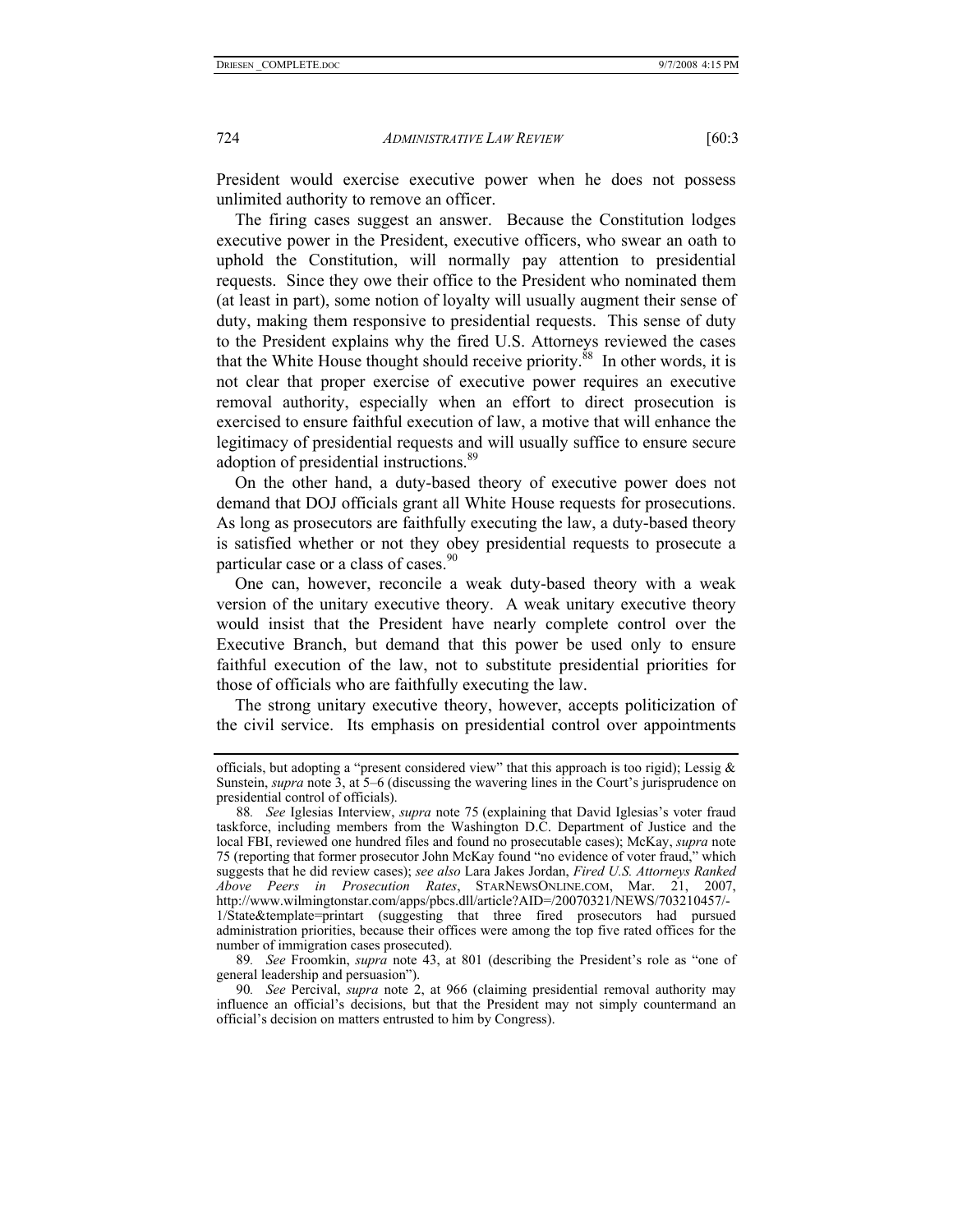President would exercise executive power when he does not possess unlimited authority to remove an officer.

The firing cases suggest an answer. Because the Constitution lodges executive power in the President, executive officers, who swear an oath to uphold the Constitution, will normally pay attention to presidential requests. Since they owe their office to the President who nominated them (at least in part), some notion of loyalty will usually augment their sense of duty, making them responsive to presidential requests. This sense of duty to the President explains why the fired U.S. Attorneys reviewed the cases that the White House thought should receive priority.<sup>88</sup> In other words, it is not clear that proper exercise of executive power requires an executive removal authority, especially when an effort to direct prosecution is exercised to ensure faithful execution of law, a motive that will enhance the legitimacy of presidential requests and will usually suffice to ensure secure adoption of presidential instructions.<sup>89</sup>

On the other hand, a duty-based theory of executive power does not demand that DOJ officials grant all White House requests for prosecutions. As long as prosecutors are faithfully executing the law, a duty-based theory is satisfied whether or not they obey presidential requests to prosecute a particular case or a class of cases.<sup>90</sup>

One can, however, reconcile a weak duty-based theory with a weak version of the unitary executive theory. A weak unitary executive theory would insist that the President have nearly complete control over the Executive Branch, but demand that this power be used only to ensure faithful execution of the law, not to substitute presidential priorities for those of officials who are faithfully executing the law.

The strong unitary executive theory, however, accepts politicization of the civil service. Its emphasis on presidential control over appointments

officials, but adopting a "present considered view" that this approach is too rigid); Lessig  $\&$ Sunstein, *supra* note 3, at 5–6 (discussing the wavering lines in the Court's jurisprudence on presidential control of officials).

<sup>88</sup>*. See* Iglesias Interview, *supra* note 75 (explaining that David Iglesias's voter fraud taskforce, including members from the Washington D.C. Department of Justice and the local FBI, reviewed one hundred files and found no prosecutable cases); McKay, *supra* note 75 (reporting that former prosecutor John McKay found "no evidence of voter fraud," which suggests that he did review cases); *see also* Lara Jakes Jordan, *Fired U.S. Attorneys Ranked Above Peers in Prosecution Rates*, STARNEWSONLINE.COM, Mar. 21, 2007, http://www.wilmingtonstar.com/apps/pbcs.dll/article?AID=/20070321/NEWS/703210457/- 1/State&template=printart (suggesting that three fired prosecutors had pursued administration priorities, because their offices were among the top five rated offices for the number of immigration cases prosecuted).

<sup>89</sup>*. See* Froomkin, *supra* note 43, at 801 (describing the President's role as "one of general leadership and persuasion").

<sup>90</sup>*. See* Percival, *supra* note 2, at 966 (claiming presidential removal authority may influence an official's decisions, but that the President may not simply countermand an official's decision on matters entrusted to him by Congress).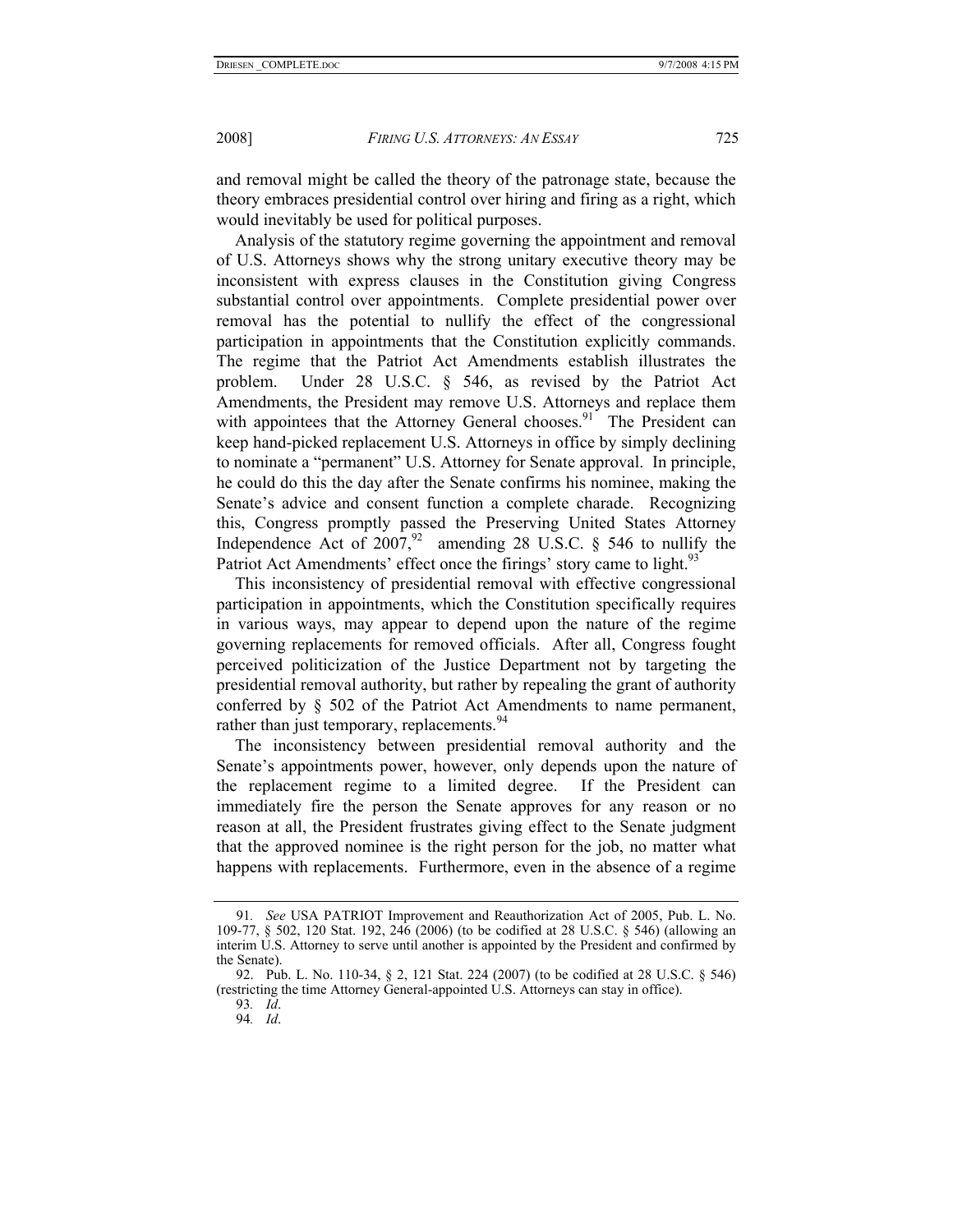and removal might be called the theory of the patronage state, because the theory embraces presidential control over hiring and firing as a right, which would inevitably be used for political purposes.

Analysis of the statutory regime governing the appointment and removal of U.S. Attorneys shows why the strong unitary executive theory may be inconsistent with express clauses in the Constitution giving Congress substantial control over appointments. Complete presidential power over removal has the potential to nullify the effect of the congressional participation in appointments that the Constitution explicitly commands. The regime that the Patriot Act Amendments establish illustrates the problem. Under 28 U.S.C. § 546, as revised by the Patriot Act Amendments, the President may remove U.S. Attorneys and replace them with appointees that the Attorney General chooses.<sup>91</sup> The President can keep hand-picked replacement U.S. Attorneys in office by simply declining to nominate a "permanent" U.S. Attorney for Senate approval. In principle, he could do this the day after the Senate confirms his nominee, making the Senate's advice and consent function a complete charade. Recognizing this, Congress promptly passed the Preserving United States Attorney Independence Act of  $2007$ ,<sup>92</sup> amending 28 U.S.C. § 546 to nullify the Patriot Act Amendments' effect once the firings' story came to light.<sup>93</sup>

This inconsistency of presidential removal with effective congressional participation in appointments, which the Constitution specifically requires in various ways, may appear to depend upon the nature of the regime governing replacements for removed officials. After all, Congress fought perceived politicization of the Justice Department not by targeting the presidential removal authority, but rather by repealing the grant of authority conferred by § 502 of the Patriot Act Amendments to name permanent, rather than just temporary, replacements.<sup>94</sup>

The inconsistency between presidential removal authority and the Senate's appointments power, however, only depends upon the nature of the replacement regime to a limited degree. If the President can immediately fire the person the Senate approves for any reason or no reason at all, the President frustrates giving effect to the Senate judgment that the approved nominee is the right person for the job, no matter what happens with replacements. Furthermore, even in the absence of a regime

<sup>91</sup>*. See* USA PATRIOT Improvement and Reauthorization Act of 2005, Pub. L. No. 109-77, § 502, 120 Stat. 192, 246 (2006) (to be codified at 28 U.S.C. § 546) (allowing an interim U.S. Attorney to serve until another is appointed by the President and confirmed by the Senate).

 <sup>92.</sup> Pub. L. No. 110-34, § 2, 121 Stat. 224 (2007) (to be codified at 28 U.S.C. § 546) (restricting the time Attorney General-appointed U.S. Attorneys can stay in office).

<sup>93</sup>*. Id*.

<sup>94</sup>*. Id*.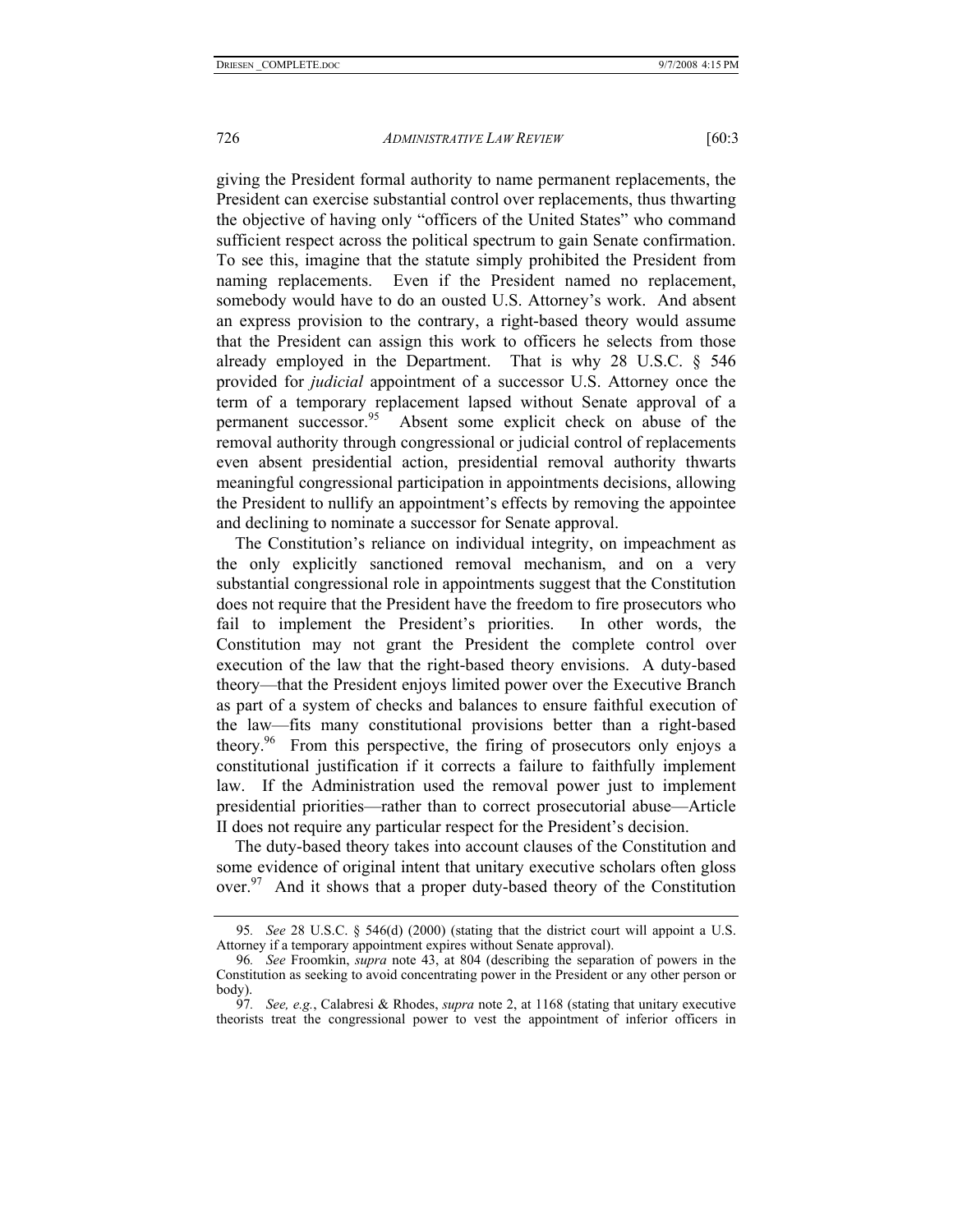giving the President formal authority to name permanent replacements, the President can exercise substantial control over replacements, thus thwarting the objective of having only "officers of the United States" who command sufficient respect across the political spectrum to gain Senate confirmation. To see this, imagine that the statute simply prohibited the President from naming replacements. Even if the President named no replacement, somebody would have to do an ousted U.S. Attorney's work. And absent an express provision to the contrary, a right-based theory would assume that the President can assign this work to officers he selects from those already employed in the Department. That is why 28 U.S.C. § 546 provided for *judicial* appointment of a successor U.S. Attorney once the term of a temporary replacement lapsed without Senate approval of a permanent successor.<sup>95</sup> Absent some explicit check on abuse of the Absent some explicit check on abuse of the removal authority through congressional or judicial control of replacements even absent presidential action, presidential removal authority thwarts meaningful congressional participation in appointments decisions, allowing the President to nullify an appointment's effects by removing the appointee and declining to nominate a successor for Senate approval.

The Constitution's reliance on individual integrity, on impeachment as the only explicitly sanctioned removal mechanism, and on a very substantial congressional role in appointments suggest that the Constitution does not require that the President have the freedom to fire prosecutors who fail to implement the President's priorities. In other words, the Constitution may not grant the President the complete control over execution of the law that the right-based theory envisions. A duty-based theory—that the President enjoys limited power over the Executive Branch as part of a system of checks and balances to ensure faithful execution of the law—fits many constitutional provisions better than a right-based theory.96 From this perspective, the firing of prosecutors only enjoys a constitutional justification if it corrects a failure to faithfully implement law. If the Administration used the removal power just to implement presidential priorities—rather than to correct prosecutorial abuse—Article II does not require any particular respect for the President's decision.

The duty-based theory takes into account clauses of the Constitution and some evidence of original intent that unitary executive scholars often gloss over.<sup>97</sup> And it shows that a proper duty-based theory of the Constitution

<sup>95</sup>*. See* 28 U.S.C. § 546(d) (2000) (stating that the district court will appoint a U.S. Attorney if a temporary appointment expires without Senate approval).

<sup>96</sup>*. See* Froomkin, *supra* note 43, at 804 (describing the separation of powers in the Constitution as seeking to avoid concentrating power in the President or any other person or body).

<sup>97</sup>*. See, e.g.*, Calabresi & Rhodes, *supra* note 2, at 1168 (stating that unitary executive theorists treat the congressional power to vest the appointment of inferior officers in